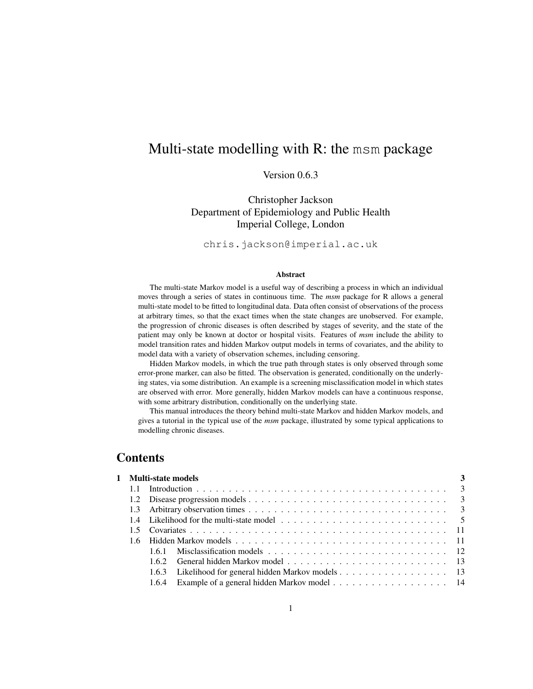# Multi-state modelling with R: the msm package

# Version 0.6.3

Christopher Jackson Department of Epidemiology and Public Health Imperial College, London

chris.jackson@imperial.ac.uk

#### Abstract

The multi-state Markov model is a useful way of describing a process in which an individual moves through a series of states in continuous time. The *msm* package for R allows a general multi-state model to be fitted to longitudinal data. Data often consist of observations of the process at arbitrary times, so that the exact times when the state changes are unobserved. For example, the progression of chronic diseases is often described by stages of severity, and the state of the patient may only be known at doctor or hospital visits. Features of *msm* include the ability to model transition rates and hidden Markov output models in terms of covariates, and the ability to model data with a variety of observation schemes, including censoring.

Hidden Markov models, in which the true path through states is only observed through some error-prone marker, can also be fitted. The observation is generated, conditionally on the underlying states, via some distribution. An example is a screening misclassification model in which states are observed with error. More generally, hidden Markov models can have a continuous response, with some arbitrary distribution, conditionally on the underlying state.

This manual introduces the theory behind multi-state Markov and hidden Markov models, and gives a tutorial in the typical use of the *msm* package, illustrated by some typical applications to modelling chronic diseases.

# Contents

|  | 1 Multi-state models                                 |  |
|--|------------------------------------------------------|--|
|  |                                                      |  |
|  |                                                      |  |
|  |                                                      |  |
|  |                                                      |  |
|  |                                                      |  |
|  |                                                      |  |
|  |                                                      |  |
|  |                                                      |  |
|  | 1.6.3 Likelihood for general hidden Markov models 13 |  |
|  | 1.6.4 Example of a general hidden Markov model 14    |  |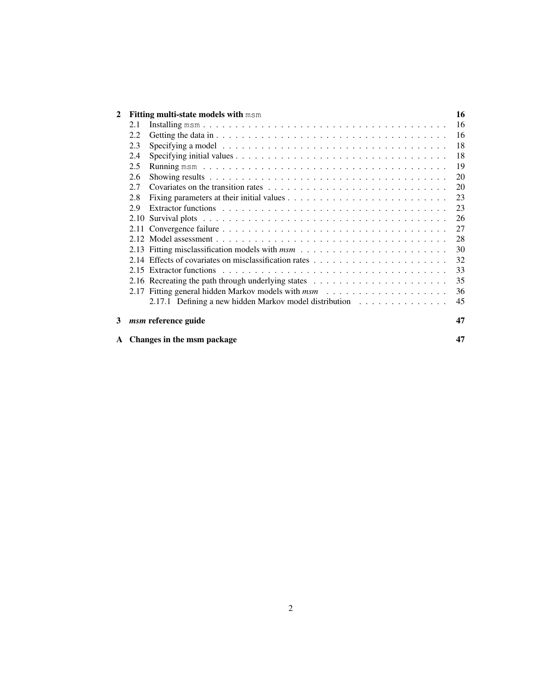| 2 |     | Fitting multi-state models with msm                                                                      | 16 |
|---|-----|----------------------------------------------------------------------------------------------------------|----|
|   | 2.1 |                                                                                                          | 16 |
|   | 2.2 |                                                                                                          | 16 |
|   | 2.3 | Specifying a model $\ldots \ldots \ldots \ldots \ldots \ldots \ldots \ldots \ldots \ldots \ldots \ldots$ | 18 |
|   | 2.4 |                                                                                                          | 18 |
|   | 2.5 |                                                                                                          | 19 |
|   | 2.6 |                                                                                                          | 20 |
|   | 2.7 |                                                                                                          | 20 |
|   | 2.8 |                                                                                                          | 23 |
|   | 2.9 |                                                                                                          | 23 |
|   |     |                                                                                                          | 26 |
|   |     |                                                                                                          | 27 |
|   |     |                                                                                                          | 28 |
|   |     |                                                                                                          | 30 |
|   |     |                                                                                                          | 32 |
|   |     |                                                                                                          | 33 |
|   |     | 2.16 Recreating the path through underlying states $\dots \dots \dots \dots \dots \dots \dots \dots$     | 35 |
|   |     |                                                                                                          | 36 |
|   |     | 2.17.1 Defining a new hidden Markov model distribution                                                   | 45 |
| 3 |     | <i>msm</i> reference guide                                                                               | 47 |
|   |     | A Changes in the msm package                                                                             | 47 |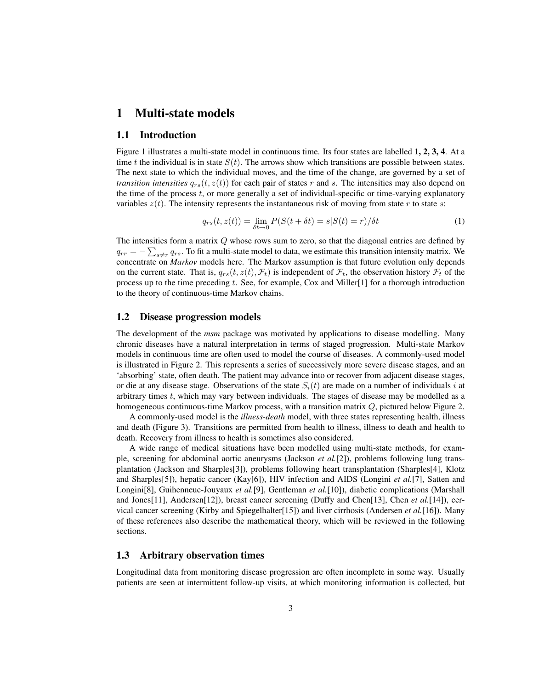## 1 Multi-state models

#### 1.1 Introduction

Figure 1 illustrates a multi-state model in continuous time. Its four states are labelled 1, 2, 3, 4. At a time t the individual is in state  $S(t)$ . The arrows show which transitions are possible between states. The next state to which the individual moves, and the time of the change, are governed by a set of *transition intensities*  $q_{rs}(t, z(t))$  for each pair of states r and s. The intensities may also depend on the time of the process  $t$ , or more generally a set of individual-specific or time-varying explanatory variables  $z(t)$ . The intensity represents the instantaneous risk of moving from state r to state s:

$$
q_{rs}(t, z(t)) = \lim_{\delta t \to 0} P(S(t + \delta t) = s | S(t) = r) / \delta t
$$
\n(1)

The intensities form a matrix Q whose rows sum to zero, so that the diagonal entries are defined by  $q_{rr} = -\sum_{s \neq r} q_{rs}$ . To fit a multi-state model to data, we estimate this transition intensity matrix. We concentrate on *Markov* models here. The Markov assumption is that future evolution only depends on the current state. That is,  $q_{rs}(t, z(t), \mathcal{F}_t)$  is independent of  $\mathcal{F}_t$ , the observation history  $\mathcal{F}_t$  of the process up to the time preceding t. See, for example, Cox and Miller $[1]$  for a thorough introduction to the theory of continuous-time Markov chains.

### 1.2 Disease progression models

The development of the *msm* package was motivated by applications to disease modelling. Many chronic diseases have a natural interpretation in terms of staged progression. Multi-state Markov models in continuous time are often used to model the course of diseases. A commonly-used model is illustrated in Figure 2. This represents a series of successively more severe disease stages, and an 'absorbing' state, often death. The patient may advance into or recover from adjacent disease stages, or die at any disease stage. Observations of the state  $S_i(t)$  are made on a number of individuals i at arbitrary times  $t$ , which may vary between individuals. The stages of disease may be modelled as a homogeneous continuous-time Markov process, with a transition matrix Q, pictured below Figure 2.

A commonly-used model is the *illness-death* model, with three states representing health, illness and death (Figure 3). Transitions are permitted from health to illness, illness to death and health to death. Recovery from illness to health is sometimes also considered.

A wide range of medical situations have been modelled using multi-state methods, for example, screening for abdominal aortic aneurysms (Jackson *et al.*[2]), problems following lung transplantation (Jackson and Sharples[3]), problems following heart transplantation (Sharples[4], Klotz and Sharples[5]), hepatic cancer (Kay[6]), HIV infection and AIDS (Longini *et al.*[7], Satten and Longini[8], Guihenneuc-Jouyaux *et al.*[9], Gentleman *et al.*[10]), diabetic complications (Marshall and Jones[11], Andersen[12]), breast cancer screening (Duffy and Chen[13], Chen *et al.*[14]), cervical cancer screening (Kirby and Spiegelhalter[15]) and liver cirrhosis (Andersen *et al.*[16]). Many of these references also describe the mathematical theory, which will be reviewed in the following sections.

### 1.3 Arbitrary observation times

Longitudinal data from monitoring disease progression are often incomplete in some way. Usually patients are seen at intermittent follow-up visits, at which monitoring information is collected, but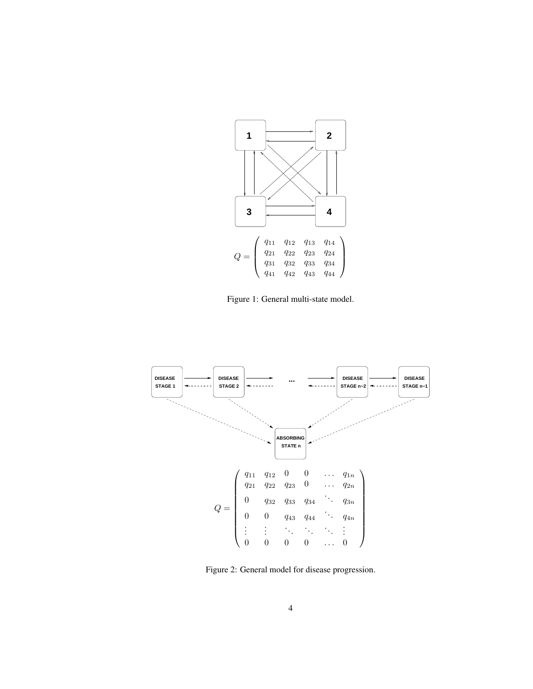

Figure 1: General multi-state model.



Figure 2: General model for disease progression.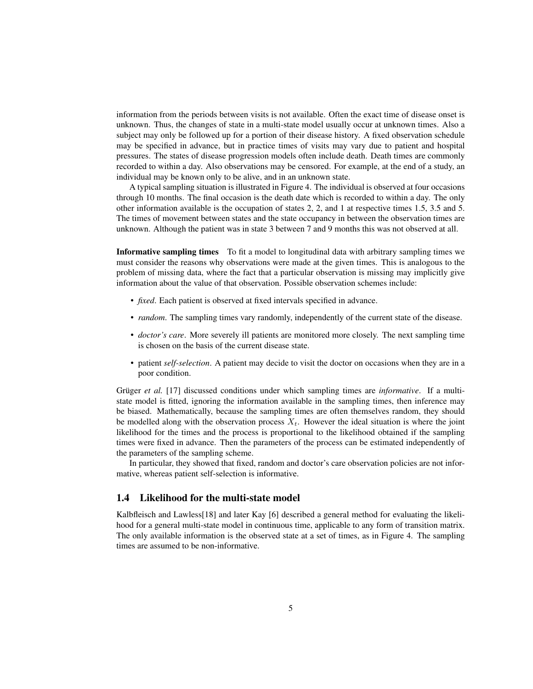information from the periods between visits is not available. Often the exact time of disease onset is unknown. Thus, the changes of state in a multi-state model usually occur at unknown times. Also a subject may only be followed up for a portion of their disease history. A fixed observation schedule may be specified in advance, but in practice times of visits may vary due to patient and hospital pressures. The states of disease progression models often include death. Death times are commonly recorded to within a day. Also observations may be censored. For example, at the end of a study, an individual may be known only to be alive, and in an unknown state.

A typical sampling situation is illustrated in Figure 4. The individual is observed at four occasions through 10 months. The final occasion is the death date which is recorded to within a day. The only other information available is the occupation of states 2, 2, and 1 at respective times 1.5, 3.5 and 5. The times of movement between states and the state occupancy in between the observation times are unknown. Although the patient was in state 3 between 7 and 9 months this was not observed at all.

Informative sampling times To fit a model to longitudinal data with arbitrary sampling times we must consider the reasons why observations were made at the given times. This is analogous to the problem of missing data, where the fact that a particular observation is missing may implicitly give information about the value of that observation. Possible observation schemes include:

- *fixed*. Each patient is observed at fixed intervals specified in advance.
- *random*. The sampling times vary randomly, independently of the current state of the disease.
- *doctor's care*. More severely ill patients are monitored more closely. The next sampling time is chosen on the basis of the current disease state.
- patient *self-selection*. A patient may decide to visit the doctor on occasions when they are in a poor condition.

Grüger *et al.* [17] discussed conditions under which sampling times are *informative*. If a multistate model is fitted, ignoring the information available in the sampling times, then inference may be biased. Mathematically, because the sampling times are often themselves random, they should be modelled along with the observation process  $X_t$ . However the ideal situation is where the joint likelihood for the times and the process is proportional to the likelihood obtained if the sampling times were fixed in advance. Then the parameters of the process can be estimated independently of the parameters of the sampling scheme.

In particular, they showed that fixed, random and doctor's care observation policies are not informative, whereas patient self-selection is informative.

#### 1.4 Likelihood for the multi-state model

Kalbfleisch and Lawless[18] and later Kay [6] described a general method for evaluating the likelihood for a general multi-state model in continuous time, applicable to any form of transition matrix. The only available information is the observed state at a set of times, as in Figure 4. The sampling times are assumed to be non-informative.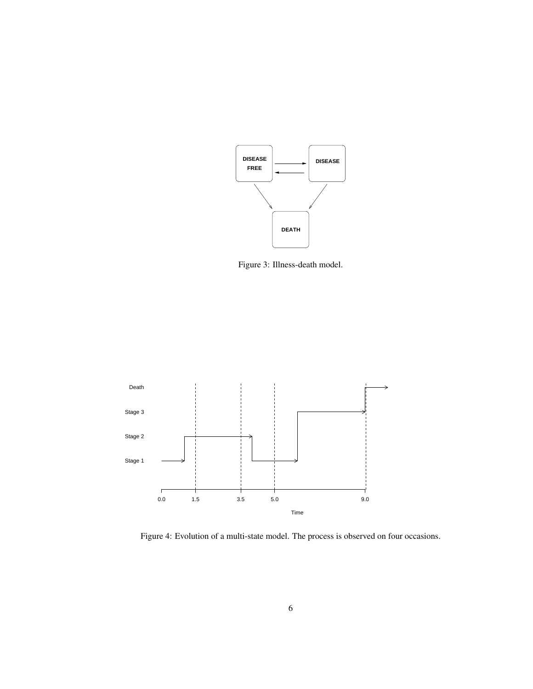

Figure 3: Illness-death model.



Figure 4: Evolution of a multi-state model. The process is observed on four occasions.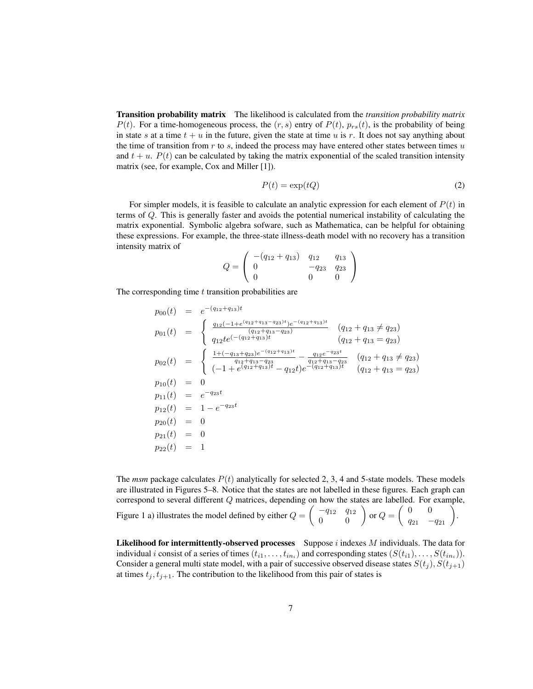Transition probability matrix The likelihood is calculated from the *transition probability matrix*  $P(t)$ . For a time-homogeneous process, the  $(r, s)$  entry of  $P(t)$ ,  $p_{rs}(t)$ , is the probability of being in state s at a time  $t + u$  in the future, given the state at time u is r. It does not say anything about the time of transition from  $r$  to  $s$ , indeed the process may have entered other states between times  $u$ and  $t + u$ .  $P(t)$  can be calculated by taking the matrix exponential of the scaled transition intensity matrix (see, for example, Cox and Miller [1]).

$$
P(t) = \exp(tQ) \tag{2}
$$

For simpler models, it is feasible to calculate an analytic expression for each element of  $P(t)$  in terms of Q. This is generally faster and avoids the potential numerical instability of calculating the matrix exponential. Symbolic algebra sofware, such as Mathematica, can be helpful for obtaining these expressions. For example, the three-state illness-death model with no recovery has a transition intensity matrix of

$$
Q = \left(\begin{array}{ccc} -(q_{12} + q_{13}) & q_{12} & q_{13} \\ 0 & -q_{23} & q_{23} \\ 0 & 0 & 0 \end{array}\right)
$$

The corresponding time  $t$  transition probabilities are

$$
p_{00}(t) = e^{-(q_{12}+q_{13})t}
$$
  
\n
$$
p_{01}(t) = \begin{cases} \frac{q_{12}(-1+e^{(q_{12}+q_{13}-q_{23})t})e^{-(q_{12}+q_{13})t}}{(q_{12}+q_{13}-q_{23})} & (q_{12}+q_{13}\neq q_{23})\\ \frac{q_{12}te^{(-(q_{12}+q_{13})t}}{q_{12}+q_{13}-q_{23}} & (q_{12}+q_{13}=q_{23}) \end{cases}
$$
  
\n
$$
p_{02}(t) = \begin{cases} \frac{1+(-q_{13}+q_{23})e^{-(q_{12}+q_{13})t}}{q_{12}+q_{13}-q_{23}} - \frac{q_{12}e^{-q_{23}t}}{q_{12}+q_{13}-q_{23}} & (q_{12}+q_{13}\neq q_{23})\\ (-1+e^{(q_{12}+q_{13})t} - q_{12}t)e^{-(q_{12}+q_{13})t} & (q_{12}+q_{13}=q_{23}) \end{cases}
$$
  
\n
$$
p_{10}(t) = 0
$$
  
\n
$$
p_{11}(t) = e^{-q_{23}t}
$$
  
\n
$$
p_{20}(t) = 1 - e^{-q_{23}t}
$$
  
\n
$$
p_{20}(t) = 0
$$
  
\n
$$
p_{21}(t) = 0
$$
  
\n
$$
p_{22}(t) = 1
$$

The *msm* package calculates  $P(t)$  analytically for selected 2, 3, 4 and 5-state models. These models are illustrated in Figures 5–8. Notice that the states are not labelled in these figures. Each graph can correspond to several different Q matrices, depending on how the states are labelled. For example, Figure 1 a) illustrates the model defined by either  $Q = \begin{pmatrix} -q_{12} & q_{12} \\ 0 & 0 \end{pmatrix}$  or  $Q = \begin{pmatrix} 0 & 0 \\ q_{21} & -q_{21} \end{pmatrix}$ .

**Likelihood for intermittently-observed processes** Suppose  $i$  indexes  $M$  individuals. The data for individual i consist of a series of times  $(t_{i1},...,t_{in_i})$  and corresponding states  $(S(t_{i1}),...,S(t_{in_i})).$ Consider a general multi state model, with a pair of successive observed disease states  $S(t_j)$ ,  $S(t_{j+1})$ at times  $t_j, t_{j+1}$ . The contribution to the likelihood from this pair of states is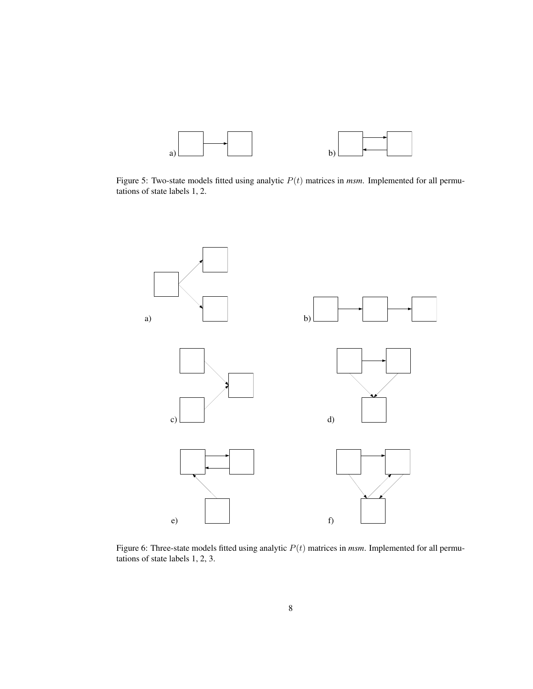

Figure 5: Two-state models fitted using analytic  $P(t)$  matrices in *msm*. Implemented for all permutations of state labels 1, 2.



Figure 6: Three-state models fitted using analytic P(t) matrices in *msm*. Implemented for all permutations of state labels 1, 2, 3.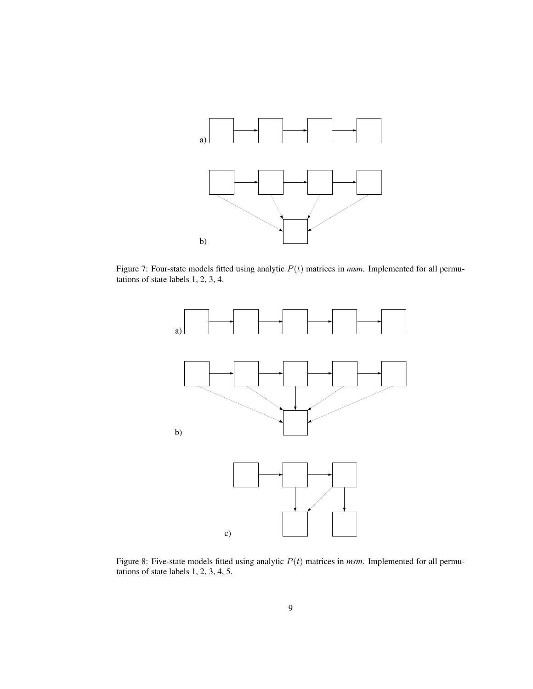

Figure 7: Four-state models fitted using analytic  $P(t)$  matrices in *msm*. Implemented for all permutations of state labels 1, 2, 3, 4.



Figure 8: Five-state models fitted using analytic P(t) matrices in *msm*. Implemented for all permutations of state labels 1, 2, 3, 4, 5.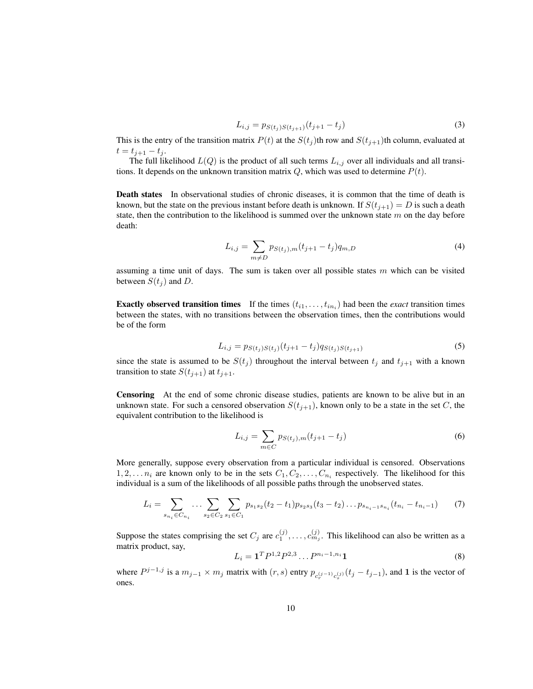$$
L_{i,j} = p_{S(t_j)S(t_{j+1})}(t_{j+1} - t_j)
$$
\n(3)

This is the entry of the transition matrix  $P(t)$  at the  $S(t<sub>j</sub>)$ th row and  $S(t<sub>j+1</sub>)$ th column, evaluated at  $t = t_{j+1} - t_j.$ 

The full likelihood  $L(Q)$  is the product of all such terms  $L_{i,j}$  over all individuals and all transitions. It depends on the unknown transition matrix  $Q$ , which was used to determine  $P(t)$ .

Death states In observational studies of chronic diseases, it is common that the time of death is known, but the state on the previous instant before death is unknown. If  $S(t_{i+1}) = D$  is such a death state, then the contribution to the likelihood is summed over the unknown state  $m$  on the day before death:

$$
L_{i,j} = \sum_{m \neq D} p_{S(t_j),m}(t_{j+1} - t_j) q_{m,D}
$$
\n(4)

assuming a time unit of days. The sum is taken over all possible states  $m$  which can be visited between  $S(t_i)$  and D.

**Exactly observed transition times** If the times  $(t_{i1}, \ldots, t_{in_i})$  had been the *exact* transition times between the states, with no transitions between the observation times, then the contributions would be of the form

$$
L_{i,j} = p_{S(t_j)S(t_j)}(t_{j+1} - t_j)q_{S(t_j)S(t_{j+1})}
$$
\n(5)

since the state is assumed to be  $S(t_j)$  throughout the interval between  $t_j$  and  $t_{j+1}$  with a known transition to state  $S(t_{j+1})$  at  $t_{j+1}$ .

Censoring At the end of some chronic disease studies, patients are known to be alive but in an unknown state. For such a censored observation  $S(t_{i+1})$ , known only to be a state in the set C, the equivalent contribution to the likelihood is

$$
L_{i,j} = \sum_{m \in C} p_{S(t_j),m}(t_{j+1} - t_j)
$$
 (6)

More generally, suppose every observation from a particular individual is censored. Observations  $1, 2, \ldots n_i$  are known only to be in the sets  $C_1, C_2, \ldots, C_{n_i}$  respectively. The likelihood for this individual is a sum of the likelihoods of all possible paths through the unobserved states.

$$
L_i = \sum_{s_{n_i} \in C_{n_i}} \dots \sum_{s_2 \in C_2} \sum_{s_1 \in C_1} p_{s_1 s_2} (t_2 - t_1) p_{s_2 s_3} (t_3 - t_2) \dots p_{s_{n_i - 1} s_{n_i}} (t_{n_i} - t_{n_i - 1}) \tag{7}
$$

Suppose the states comprising the set  $C_j$  are  $c_1^{(j)}, \ldots, c_{m_j}^{(j)}$ . This likelihood can also be written as a matrix product, say,

$$
L_i = \mathbf{1}^T P^{1,2} P^{2,3} \dots P^{n_i - 1, n_i} \mathbf{1}
$$
\n(8)

where  $P^{j-1,j}$  is a  $m_{j-1} \times m_j$  matrix with  $(r, s)$  entry  $p_{c_r^{(j-1)}c_s^{(j)}}(t_j - t_{j-1})$ , and 1 is the vector of ones.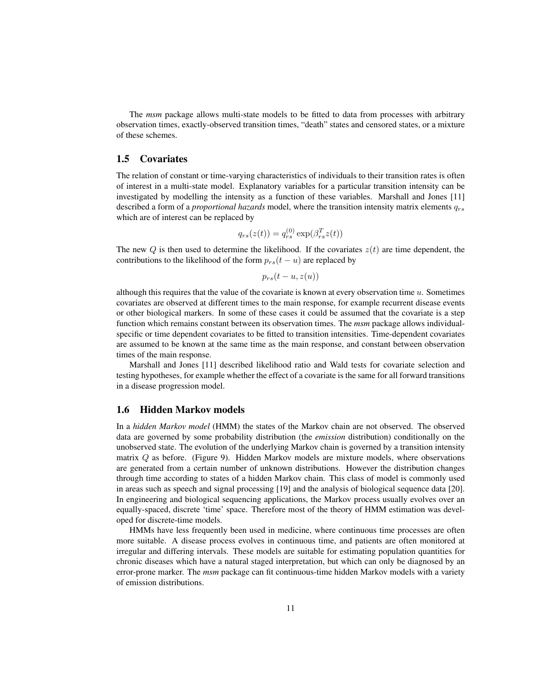The *msm* package allows multi-state models to be fitted to data from processes with arbitrary observation times, exactly-observed transition times, "death" states and censored states, or a mixture of these schemes.

## 1.5 Covariates

The relation of constant or time-varying characteristics of individuals to their transition rates is often of interest in a multi-state model. Explanatory variables for a particular transition intensity can be investigated by modelling the intensity as a function of these variables. Marshall and Jones [11] described a form of a *proportional hazards* model, where the transition intensity matrix elements  $q_{rs}$ which are of interest can be replaced by

$$
q_{rs}(z(t)) = q_{rs}^{(0)} \exp(\beta_{rs}^T z(t))
$$

The new Q is then used to determine the likelihood. If the covariates  $z(t)$  are time dependent, the contributions to the likelihood of the form  $p_{rs}(t - u)$  are replaced by

$$
p_{rs}(t-u,z(u))
$$

although this requires that the value of the covariate is known at every observation time  $u$ . Sometimes covariates are observed at different times to the main response, for example recurrent disease events or other biological markers. In some of these cases it could be assumed that the covariate is a step function which remains constant between its observation times. The *msm* package allows individualspecific or time dependent covariates to be fitted to transition intensities. Time-dependent covariates are assumed to be known at the same time as the main response, and constant between observation times of the main response.

Marshall and Jones [11] described likelihood ratio and Wald tests for covariate selection and testing hypotheses, for example whether the effect of a covariate is the same for all forward transitions in a disease progression model.

#### 1.6 Hidden Markov models

In a *hidden Markov model* (HMM) the states of the Markov chain are not observed. The observed data are governed by some probability distribution (the *emission* distribution) conditionally on the unobserved state. The evolution of the underlying Markov chain is governed by a transition intensity matrix  $Q$  as before. (Figure 9). Hidden Markov models are mixture models, where observations are generated from a certain number of unknown distributions. However the distribution changes through time according to states of a hidden Markov chain. This class of model is commonly used in areas such as speech and signal processing [19] and the analysis of biological sequence data [20]. In engineering and biological sequencing applications, the Markov process usually evolves over an equally-spaced, discrete 'time' space. Therefore most of the theory of HMM estimation was developed for discrete-time models.

HMMs have less frequently been used in medicine, where continuous time processes are often more suitable. A disease process evolves in continuous time, and patients are often monitored at irregular and differing intervals. These models are suitable for estimating population quantities for chronic diseases which have a natural staged interpretation, but which can only be diagnosed by an error-prone marker. The *msm* package can fit continuous-time hidden Markov models with a variety of emission distributions.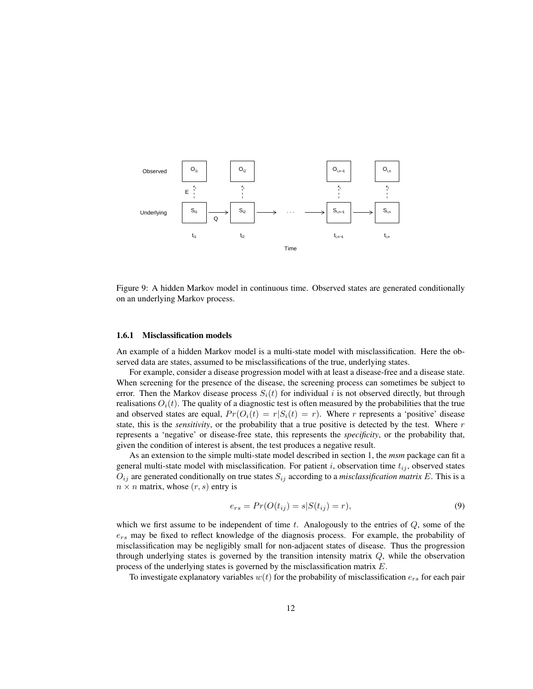

Figure 9: A hidden Markov model in continuous time. Observed states are generated conditionally on an underlying Markov process.

#### 1.6.1 Misclassification models

An example of a hidden Markov model is a multi-state model with misclassification. Here the observed data are states, assumed to be misclassifications of the true, underlying states.

For example, consider a disease progression model with at least a disease-free and a disease state. When screening for the presence of the disease, the screening process can sometimes be subject to error. Then the Markov disease process  $S_i(t)$  for individual i is not observed directly, but through realisations  $O_i(t)$ . The quality of a diagnostic test is often measured by the probabilities that the true and observed states are equal,  $Pr(O_i(t) = r | S_i(t) = r)$ . Where r represents a 'positive' disease state, this is the *sensitivity*, or the probability that a true positive is detected by the test. Where r represents a 'negative' or disease-free state, this represents the *specificity*, or the probability that, given the condition of interest is absent, the test produces a negative result.

As an extension to the simple multi-state model described in section 1, the *msm* package can fit a general multi-state model with misclassification. For patient i, observation time  $t_{ij}$ , observed states  $O_{ij}$  are generated conditionally on true states  $S_{ij}$  according to a *misclassification matrix* E. This is a  $n \times n$  matrix, whose  $(r, s)$  entry is

$$
e_{rs} = Pr(O(t_{ij}) = s | S(t_{ij}) = r),
$$
\n(9)

which we first assume to be independent of time  $t$ . Analogously to the entries of  $Q$ , some of the  $e_{rs}$  may be fixed to reflect knowledge of the diagnosis process. For example, the probability of misclassification may be negligibly small for non-adjacent states of disease. Thus the progression through underlying states is governed by the transition intensity matrix  $Q$ , while the observation process of the underlying states is governed by the misclassification matrix E.

To investigate explanatory variables  $w(t)$  for the probability of misclassification  $e_{rs}$  for each pair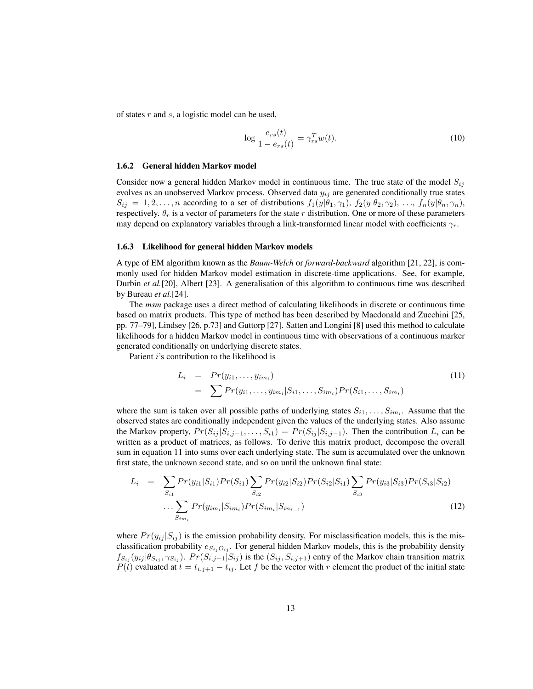of states r and s, a logistic model can be used,

$$
\log \frac{e_{rs}(t)}{1 - e_{rs}(t)} = \gamma_{rs}^T w(t). \tag{10}
$$

#### 1.6.2 General hidden Markov model

Consider now a general hidden Markov model in continuous time. The true state of the model  $S_{ij}$ evolves as an unobserved Markov process. Observed data  $y_{ij}$  are generated conditionally true states  $S_{ij} = 1, 2, \ldots, n$  according to a set of distributions  $f_1(y|\theta_1, \gamma_1), f_2(y|\theta_2, \gamma_2), \ldots, f_n(y|\theta_n, \gamma_n),$ respectively.  $\theta_r$  is a vector of parameters for the state r distribution. One or more of these parameters may depend on explanatory variables through a link-transformed linear model with coefficients  $\gamma_r$ .

#### 1.6.3 Likelihood for general hidden Markov models

A type of EM algorithm known as the *Baum-Welch* or *forward-backward* algorithm [21, 22], is commonly used for hidden Markov model estimation in discrete-time applications. See, for example, Durbin *et al.*[20], Albert [23]. A generalisation of this algorithm to continuous time was described by Bureau *et al.*[24].

The *msm* package uses a direct method of calculating likelihoods in discrete or continuous time based on matrix products. This type of method has been described by Macdonald and Zucchini [25, pp. 77–79], Lindsey [26, p.73] and Guttorp [27]. Satten and Longini [8] used this method to calculate likelihoods for a hidden Markov model in continuous time with observations of a continuous marker generated conditionally on underlying discrete states.

Patient *i*'s contribution to the likelihood is

$$
L_i = Pr(y_{i1},...,y_{im_i})
$$
  
=  $\sum Pr(y_{i1},...,y_{im_i}|S_{i1},...,S_{im_i}) Pr(S_{i1},...,S_{im_i})$  (11)

where the sum is taken over all possible paths of underlying states  $S_{i1}, \ldots, S_{im_i}$ . Assume that the observed states are conditionally independent given the values of the underlying states. Also assume the Markov property,  $Pr(S_{ij} | S_{i,j-1}, \ldots, S_{i1}) = Pr(S_{ij} | S_{i,j-1})$ . Then the contribution  $L_i$  can be written as a product of matrices, as follows. To derive this matrix product, decompose the overall sum in equation 11 into sums over each underlying state. The sum is accumulated over the unknown first state, the unknown second state, and so on until the unknown final state:

$$
L_{i} = \sum_{S_{i1}} Pr(y_{i1}|S_{i1}) Pr(S_{i1}) \sum_{S_{i2}} Pr(y_{i2}|S_{i2}) Pr(S_{i2}|S_{i1}) \sum_{S_{i3}} Pr(y_{i3}|S_{i3}) Pr(S_{i3}|S_{i2})
$$

$$
\cdots \sum_{S_{im_{i}}} Pr(y_{im_{i}}|S_{im_{i}}) Pr(S_{im_{i}}|S_{in_{i-1}})
$$
(12)

where  $Pr(y_{ij} | S_{ij})$  is the emission probability density. For misclassification models, this is the misclassification probability  $e_{S_{ij}O_{ij}}$ . For general hidden Markov models, this is the probability density  $f_{S_{ij}}(y_{ij}|\theta_{S_{ij}}, \gamma_{S_{ij}})$ .  $Pr(S_{i,j+1}|S_{ij})$  is the  $(S_{ij}, S_{i,j+1})$  entry of the Markov chain transition matrix  $P(t)$  evaluated at  $t = t_{i,j+1} - t_{ij}$ . Let f be the vector with r element the product of the initial state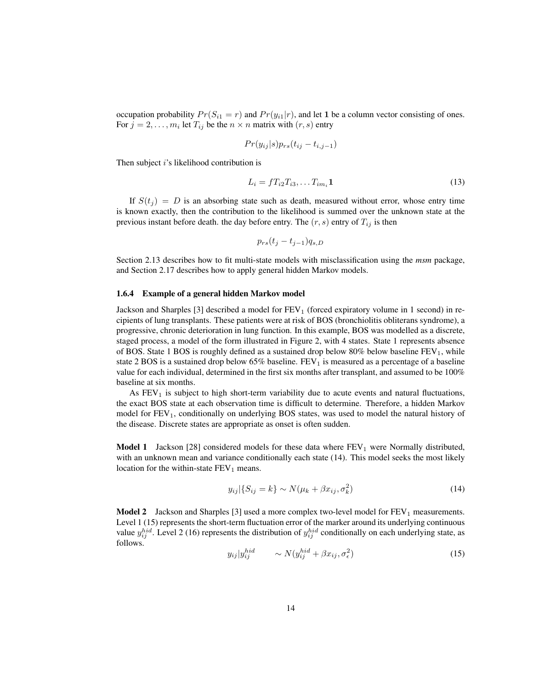occupation probability  $Pr(S_{i1} = r)$  and  $Pr(y_{i1}|r)$ , and let 1 be a column vector consisting of ones. For  $j = 2, \ldots, m_i$  let  $T_{ij}$  be the  $n \times n$  matrix with  $(r, s)$  entry

$$
Pr(y_{ij}|s)p_{rs}(t_{ij}-t_{i,j-1})
$$

Then subject i's likelihood contribution is

$$
L_i = f T_{i2} T_{i3}, \dots T_{im_i} \mathbf{1}
$$
\n<sup>(13)</sup>

If  $S(t_i) = D$  is an absorbing state such as death, measured without error, whose entry time is known exactly, then the contribution to the likelihood is summed over the unknown state at the previous instant before death. the day before entry. The  $(r, s)$  entry of  $T_{ij}$  is then

$$
p_{rs}(t_j - t_{j-1})q_{s,D}
$$

Section 2.13 describes how to fit multi-state models with misclassification using the *msm* package, and Section 2.17 describes how to apply general hidden Markov models.

#### 1.6.4 Example of a general hidden Markov model

Jackson and Sharples  $[3]$  described a model for  $FEV<sub>1</sub>$  (forced expiratory volume in 1 second) in recipients of lung transplants. These patients were at risk of BOS (bronchiolitis obliterans syndrome), a progressive, chronic deterioration in lung function. In this example, BOS was modelled as a discrete, staged process, a model of the form illustrated in Figure 2, with 4 states. State 1 represents absence of BOS. State 1 BOS is roughly defined as a sustained drop below 80% below baseline  $FEV<sub>1</sub>$ , while state 2 BOS is a sustained drop below 65% baseline.  $FEV<sub>1</sub>$  is measured as a percentage of a baseline value for each individual, determined in the first six months after transplant, and assumed to be 100% baseline at six months.

As  $FEV<sub>1</sub>$  is subject to high short-term variability due to acute events and natural fluctuations, the exact BOS state at each observation time is difficult to determine. Therefore, a hidden Markov model for  $FEV<sub>1</sub>$ , conditionally on underlying BOS states, was used to model the natural history of the disease. Discrete states are appropriate as onset is often sudden.

**Model 1** Jackson [28] considered models for these data where  $FEV_1$  were Normally distributed, with an unknown mean and variance conditionally each state (14). This model seeks the most likely location for the within-state  $FEV<sub>1</sub>$  means.

$$
y_{ij}|\{S_{ij} = k\} \sim N(\mu_k + \beta x_{ij}, \sigma_k^2)
$$
\n(14)

**Model 2** Jackson and Sharples [3] used a more complex two-level model for  $FEV_1$  measurements. Level 1 (15) represents the short-term fluctuation error of the marker around its underlying continuous value  $y_{ij}^{hid}$ . Level 2 (16) represents the distribution of  $y_{ij}^{hid}$  conditionally on each underlying state, as follows.  $\lambda$ 

$$
y_{ij}|y_{ij}^{hid} \qquad \sim N(y_{ij}^{hid} + \beta x_{ij}, \sigma_{\epsilon}^2) \tag{15}
$$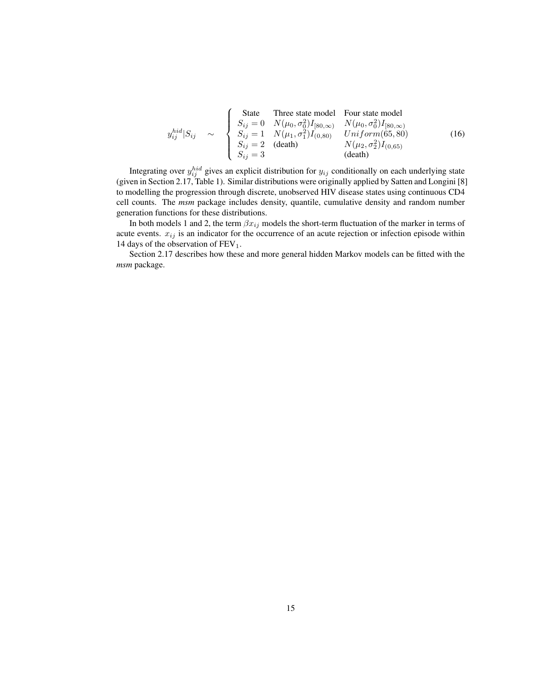$$
y_{ij}^{hid}|S_{ij} \sim \begin{cases} \text{State} & \text{Three state model} \\ S_{ij} = 0 & N(\mu_0, \sigma_0^2)I_{[80,\infty)} \\ S_{ij} = 1 & N(\mu_1, \sigma_1^2)I_{(0,80)} \\ S_{ij} = 2 & (\text{death}) \end{cases} \begin{cases} W(\mu_0, \sigma_0^2)I_{[80,\infty)} \\ Uniform(65,80) \\ N(\mu_2, \sigma_2^2)I_{(0,65)} \\ (16) \\ S_{ij} = 3 \end{cases} \tag{16}
$$

Integrating over  $y_{ij}^{hid}$  gives an explicit distribution for  $y_{ij}$  conditionally on each underlying state (given in Section 2.17, Table 1). Similar distributions were originally applied by Satten and Longini [8] to modelling the progression through discrete, unobserved HIV disease states using continuous CD4 cell counts. The *msm* package includes density, quantile, cumulative density and random number generation functions for these distributions.

In both models 1 and 2, the term  $\beta x_{ij}$  models the short-term fluctuation of the marker in terms of acute events.  $x_{ij}$  is an indicator for the occurrence of an acute rejection or infection episode within 14 days of the observation of  $FEV<sub>1</sub>$ .

Section 2.17 describes how these and more general hidden Markov models can be fitted with the *msm* package.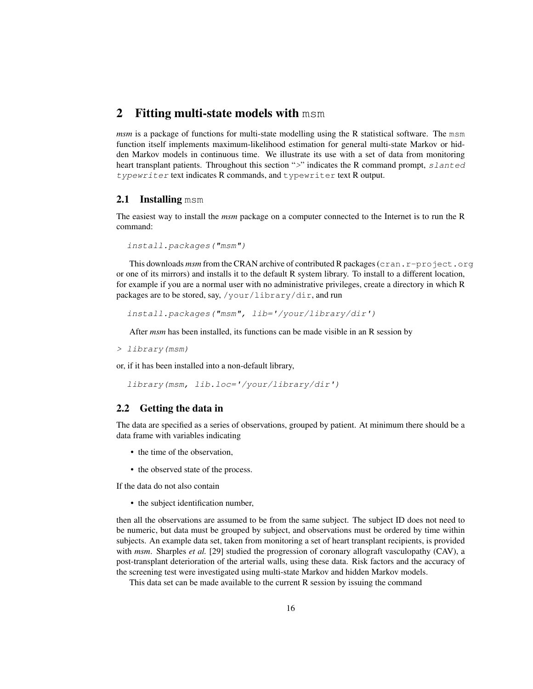# 2 Fitting multi-state models with msm

*msm* is a package of functions for multi-state modelling using the R statistical software. The msm function itself implements maximum-likelihood estimation for general multi-state Markov or hidden Markov models in continuous time. We illustrate its use with a set of data from monitoring heart transplant patients. Throughout this section ">" indicates the R command prompt, slanted typewriter text indicates R commands, and typewriter text R output.

### 2.1 Installing msm

The easiest way to install the *msm* package on a computer connected to the Internet is to run the R command:

```
install.packages("msm")
```
This downloads *msm* from the CRAN archive of contributed R packages (cran.r-project.org or one of its mirrors) and installs it to the default R system library. To install to a different location, for example if you are a normal user with no administrative privileges, create a directory in which R packages are to be stored, say, /your/library/dir, and run

install.packages("msm", lib='/your/library/dir')

After *msm* has been installed, its functions can be made visible in an R session by

```
> library(msm)
```
or, if it has been installed into a non-default library,

```
library(msm, lib.loc='/your/library/dir')
```
## 2.2 Getting the data in

The data are specified as a series of observations, grouped by patient. At minimum there should be a data frame with variables indicating

- the time of the observation,
- the observed state of the process.

If the data do not also contain

• the subject identification number,

then all the observations are assumed to be from the same subject. The subject ID does not need to be numeric, but data must be grouped by subject, and observations must be ordered by time within subjects. An example data set, taken from monitoring a set of heart transplant recipients, is provided with *msm*. Sharples *et al.* [29] studied the progression of coronary allograft vasculopathy (CAV), a post-transplant deterioration of the arterial walls, using these data. Risk factors and the accuracy of the screening test were investigated using multi-state Markov and hidden Markov models.

This data set can be made available to the current R session by issuing the command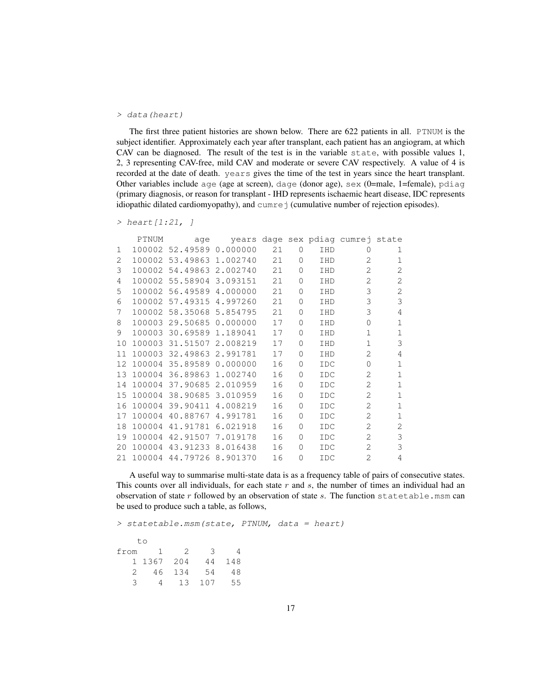#### > data(heart)

The first three patient histories are shown below. There are 622 patients in all. PTNUM is the subject identifier. Approximately each year after transplant, each patient has an angiogram, at which CAV can be diagnosed. The result of the test is in the variable state, with possible values 1, 2, 3 representing CAV-free, mild CAV and moderate or severe CAV respectively. A value of 4 is recorded at the date of death. years gives the time of the test in years since the heart transplant. Other variables include age (age at screen), dage (donor age), sex (0=male, 1=female), pdiag (primary diagnosis, or reason for transplant - IHD represents ischaemic heart disease, IDC represents idiopathic dilated cardiomyopathy), and cumre j (cumulative number of rejection episodes).

```
> heart [1:21, ]
```

|          | PTNUM | aqe                      |    |          |            | years dage sex pdiag cumrej state |                |
|----------|-------|--------------------------|----|----------|------------|-----------------------------------|----------------|
| 1        |       | 100002 52.49589 0.000000 | 21 | $\Omega$ | <b>THD</b> | $\Omega$                          | 1              |
| 2        |       | 100002 53.49863 1.002740 | 21 | 0        | <b>THD</b> | $\mathcal{L}$                     | 1              |
| 3        |       | 100002 54.49863 2.002740 | 21 | 0        | <b>THD</b> | $\mathcal{D}_{\mathcal{L}}$       | $\overline{2}$ |
| 4        |       | 100002 55.58904 3.093151 | 21 | $\Omega$ | IHD        | 2                                 | 2              |
| 5        |       | 100002 56.49589 4.000000 | 21 | 0        | <b>THD</b> | 3                                 | $\overline{2}$ |
| 6        |       | 100002 57.49315 4.997260 | 21 | 0        | <b>THD</b> | 3                                 | 3              |
| 7        |       | 100002 58.35068 5.854795 | 21 | 0        | IHD        | 3                                 | 4              |
| 8        |       | 100003 29.50685 0.000000 | 17 | $\Omega$ | <b>THD</b> | $\cap$                            | $\mathbf{1}$   |
| 9        |       | 100003 30.69589 1.189041 | 17 | 0        | <b>THD</b> | $\mathbf{1}$                      | $\mathbf{1}$   |
| 10       |       | 100003 31.51507 2.008219 | 17 | 0        | IHD        | $\mathbf{1}$                      | 3              |
| $11^{-}$ |       | 100003 32.49863 2.991781 | 17 | $\Omega$ | <b>THD</b> | $\mathfrak{D}$                    | 4              |
| 12       |       | 100004 35.89589 0.000000 | 16 | 0        | <b>IDC</b> | $\Omega$                          | 1              |
| 13       |       | 100004 36.89863 1.002740 | 16 | 0        | <b>IDC</b> | $\overline{2}$                    | 1              |
| 14       |       | 100004 37.90685 2.010959 | 16 | 0        | <b>IDC</b> | $\mathfrak{D}$                    | $\mathbf{1}$   |
| 15       |       | 100004 38.90685 3.010959 | 16 | 0        | <b>IDC</b> | $\mathfrak{D}$                    | $\mathbf{1}$   |
| 16       |       | 100004 39.90411 4.008219 | 16 | 0        | <b>IDC</b> | 2                                 | $\mathbf 1$    |
| 17       |       | 100004 40.88767 4.991781 | 16 | 0        | <b>IDC</b> | $\overline{2}$                    | $\mathbf{1}$   |
| 18       |       | 100004 41.91781 6.021918 | 16 | 0        | <b>IDC</b> | $\mathfrak{D}$                    | $\mathfrak{D}$ |
| 19       |       | 100004 42.91507 7.019178 | 16 | 0        | <b>IDC</b> | $\mathfrak{D}$                    | 3              |
| 20       |       | 100004 43.91233 8.016438 | 16 | $\Omega$ | <b>IDC</b> | 2                                 | 3              |
| 21       |       | 100004 44.79726 8.901370 | 16 | 0        | <b>IDC</b> | $\mathfrak{D}$                    | 4              |

A useful way to summarise multi-state data is as a frequency table of pairs of consecutive states. This counts over all individuals, for each state  $r$  and  $s$ , the number of times an individual had an observation of state  $r$  followed by an observation of state  $s$ . The function statetable.msm can be used to produce such a table, as follows,

> statetable.msm(state, PTNUM, data = heart)

|      | to     |               |     |     |
|------|--------|---------------|-----|-----|
| from | Т.     | $\mathcal{L}$ | 3   |     |
|      | 1 1367 | 204           | 44  | 148 |
| 2    | 46     | 134           | 54  | 48  |
| بر·  |        | 13            | 107 | 55  |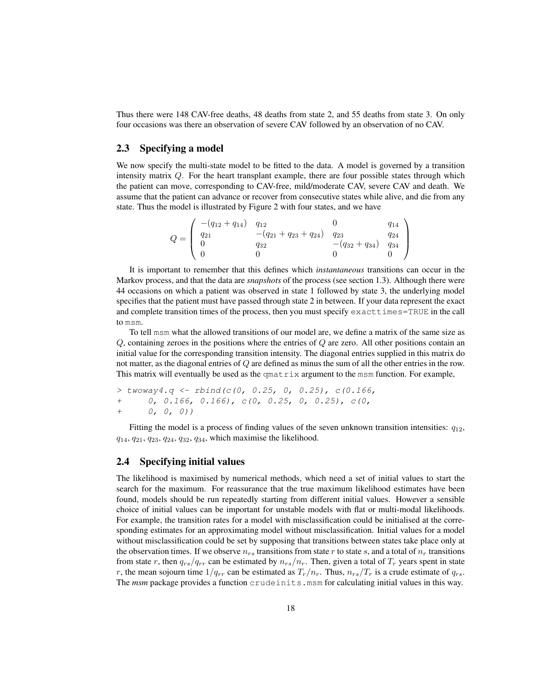Thus there were 148 CAV-free deaths, 48 deaths from state 2, and 55 deaths from state 3. On only four occasions was there an observation of severe CAV followed by an observation of no CAV.

## 2.3 Specifying a model

We now specify the multi-state model to be fitted to the data. A model is governed by a transition intensity matrix Q. For the heart transplant example, there are four possible states through which the patient can move, corresponding to CAV-free, mild/moderate CAV, severe CAV and death. We assume that the patient can advance or recover from consecutive states while alive, and die from any state. Thus the model is illustrated by Figure 2 with four states, and we have

$$
Q = \begin{pmatrix} -(q_{12} + q_{14}) & q_{12} & 0 & q_{14} \\ q_{21} & -(q_{21} + q_{23} + q_{24}) & q_{23} & q_{24} \\ 0 & q_{32} & -(q_{32} + q_{34}) & q_{34} \\ 0 & 0 & 0 & 0 \end{pmatrix}
$$

It is important to remember that this defines which *instantaneous* transitions can occur in the Markov process, and that the data are *snapshots* of the process (see section 1.3). Although there were 44 occasions on which a patient was observed in state 1 followed by state 3, the underlying model specifies that the patient must have passed through state 2 in between. If your data represent the exact and complete transition times of the process, then you must specify exacttimes=TRUE in the call to msm.

To tell msm what the allowed transitions of our model are, we define a matrix of the same size as  $Q$ , containing zeroes in the positions where the entries of  $Q$  are zero. All other positions contain an initial value for the corresponding transition intensity. The diagonal entries supplied in this matrix do not matter, as the diagonal entries of Q are defined as minus the sum of all the other entries in the row. This matrix will eventually be used as the  $\text{qmatrix}$  argument to the msm function. For example,

```
> twoway4.q <- rbind(c(0, 0.25, 0, 0.25), c(0.166,
+ 0, 0.166, 0.166), c(0, 0.25, 0, 0.25), c(0,
+ 0, 0, 0))
```
Fitting the model is a process of finding values of the seven unknown transition intensities:  $q_{12}$ ,  $q_{14}, q_{21}, q_{23}, q_{24}, q_{32}, q_{34}$ , which maximise the likelihood.

## 2.4 Specifying initial values

The likelihood is maximised by numerical methods, which need a set of initial values to start the search for the maximum. For reassurance that the true maximum likelihood estimates have been found, models should be run repeatedly starting from different initial values. However a sensible choice of initial values can be important for unstable models with flat or multi-modal likelihoods. For example, the transition rates for a model with misclassification could be initialised at the corresponding estimates for an approximating model without misclassification. Initial values for a model without misclassification could be set by supposing that transitions between states take place only at the observation times. If we observe  $n_{rs}$  transitions from state r to state s, and a total of  $n_r$  transitions from state r, then  $q_{rs}/q_{rr}$  can be estimated by  $n_{rs}/n_r$ . Then, given a total of  $T_r$  years spent in state r, the mean sojourn time  $1/q_{rr}$  can be estimated as  $T_r/n_r$ . Thus,  $n_{rs}/T_r$  is a crude estimate of  $q_{rs}$ . The *msm* package provides a function crudeinits.msm for calculating initial values in this way.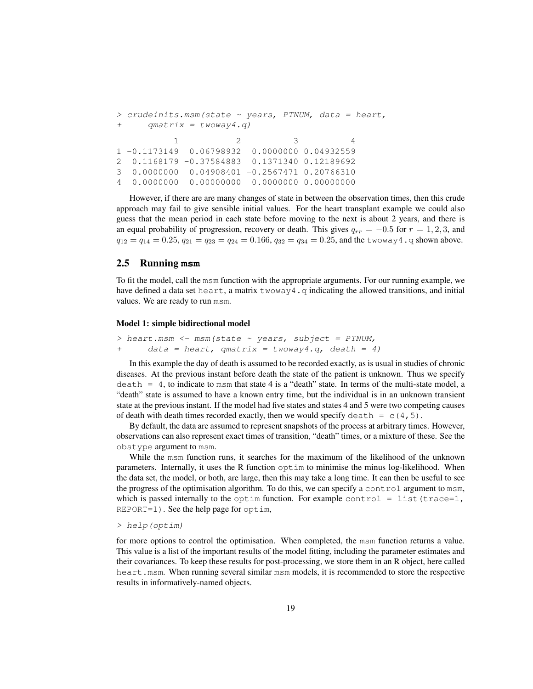```
> crudeinits.msm(state ~ years, PTNUM, data = heart,
+ qmatrix = twoway4.q)
         1 2 3 4
1 -0.1173149 0.06798932 0.0000000 0.04932559
2 0.1168179 -0.37584883 0.1371340 0.12189692
3 0.0000000 0.04908401 -0.2567471 0.20766310
4 0.0000000 0.00000000 0.0000000 0.00000000
```
However, if there are are many changes of state in between the observation times, then this crude approach may fail to give sensible initial values. For the heart transplant example we could also guess that the mean period in each state before moving to the next is about 2 years, and there is an equal probability of progression, recovery or death. This gives  $q_{rr} = -0.5$  for  $r = 1, 2, 3$ , and  $q_{12} = q_{14} = 0.25, q_{21} = q_{23} = q_{24} = 0.166, q_{32} = q_{34} = 0.25,$  and the two way 4. q shown above.

## 2.5 Running **msm**

To fit the model, call the msm function with the appropriate arguments. For our running example, we have defined a data set heart, a matrix  $t_{\text{www}}$  and initial defined a data set heart, a matrix  $t_{\text{www}}$  and  $t_{\text{m}}$ values. We are ready to run msm.

#### Model 1: simple bidirectional model

```
> heart.msm <- msm(state \sim years, subject = PTNUM,
+ data = heart, qmatrix = twoway4.q, death = 4)
```
In this example the day of death is assumed to be recorded exactly, as is usual in studies of chronic diseases. At the previous instant before death the state of the patient is unknown. Thus we specify  $\text{death} = 4$ , to indicate to msm that state 4 is a "death" state. In terms of the multi-state model, a "death" state is assumed to have a known entry time, but the individual is in an unknown transient state at the previous instant. If the model had five states and states 4 and 5 were two competing causes of death with death times recorded exactly, then we would specify death =  $c(4,5)$ .

By default, the data are assumed to represent snapshots of the process at arbitrary times. However, observations can also represent exact times of transition, "death" times, or a mixture of these. See the obstype argument to msm.

While the msm function runs, it searches for the maximum of the likelihood of the unknown parameters. Internally, it uses the R function optim to minimise the minus log-likelihood. When the data set, the model, or both, are large, then this may take a long time. It can then be useful to see the progress of the optimisation algorithm. To do this, we can specify a control argument to msm, which is passed internally to the optim function. For example control = list (trace=1, REPORT=1). See the help page for optim,

> help(optim)

for more options to control the optimisation. When completed, the msm function returns a value. This value is a list of the important results of the model fitting, including the parameter estimates and their covariances. To keep these results for post-processing, we store them in an R object, here called heart.msm. When running several similar msm models, it is recommended to store the respective results in informatively-named objects.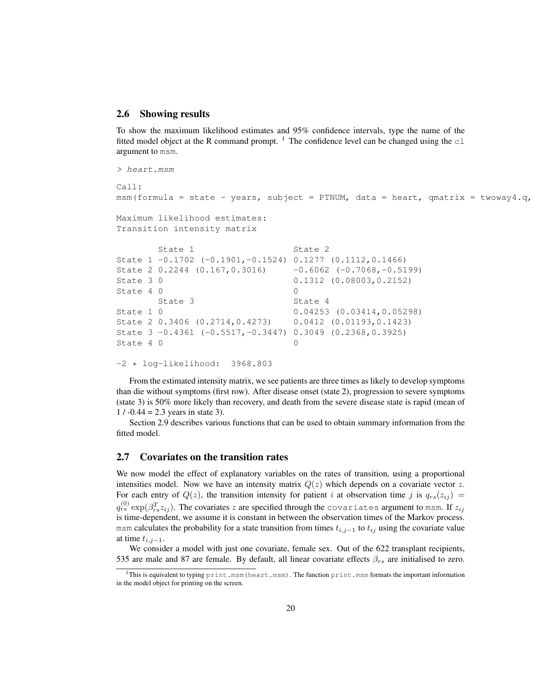### 2.6 Showing results

To show the maximum likelihood estimates and 95% confidence intervals, type the name of the fitted model object at the R command prompt.  $\frac{1}{1}$  The confidence level can be changed using the  $\text{cl}$ argument to msm.

```
> heart.msm
Ca11:
msm(formula = state ~ years, subject = PTNUM, data = heart, qmatrix = twoway4.q,
Maximum likelihood estimates:
Transition intensity matrix
      State 1 State 2
State 1 -0.1702 (-0.1901,-0.1524) 0.1277 (0.1112,0.1466)
State 2 0.2244 (0.167, 0.3016) -0.6062 (-0.7068, -0.5199)
State 3 0 0.1312 (0.08003, 0.2152)
State 4 0 0
```

```
State 3 State 4
State 1 0 0.04253 (0.03414,0.05298)
State 2 0.3406 (0.2714,0.4273) 0.0412 (0.01193,0.1423)
State 3 -0.4361 (-0.5517,-0.3447) 0.3049 (0.2368,0.3925)
State 4 0 0
```
-2 \* log-likelihood: 3968.803

From the estimated intensity matrix, we see patients are three times as likely to develop symptoms than die without symptoms (first row). After disease onset (state 2), progression to severe symptoms (state 3) is 50% more likely than recovery, and death from the severe disease state is rapid (mean of  $1 / -0.44 = 2.3$  years in state 3).

Section 2.9 describes various functions that can be used to obtain summary information from the fitted model.

### 2.7 Covariates on the transition rates

We now model the effect of explanatory variables on the rates of transition, using a proportional intensities model. Now we have an intensity matrix  $Q(z)$  which depends on a covariate vector z. For each entry of  $Q(z)$ , the transition intensity for patient i at observation time j is  $q_{rs}(z_{ij}) =$  $q_{rs}^{(0)}\exp(\beta_{rs}^T z_{ij}).$  The covariates  $z$  are specified through the <code>covariates</code> argument to msm. If  $z_{ij}$ is time-dependent, we assume it is constant in between the observation times of the Markov process. msm calculates the probability for a state transition from times  $t_{i,j-1}$  to  $t_{ij}$  using the covariate value at time  $t_{i,j-1}$ .

We consider a model with just one covariate, female sex. Out of the 622 transplant recipients, 535 are male and 87 are female. By default, all linear covariate effects  $\beta_{rs}$  are initialised to zero.

<sup>&</sup>lt;sup>1</sup>This is equivalent to typing print.msm(heart.msm). The function print.msm formats the important information in the model object for printing on the screen.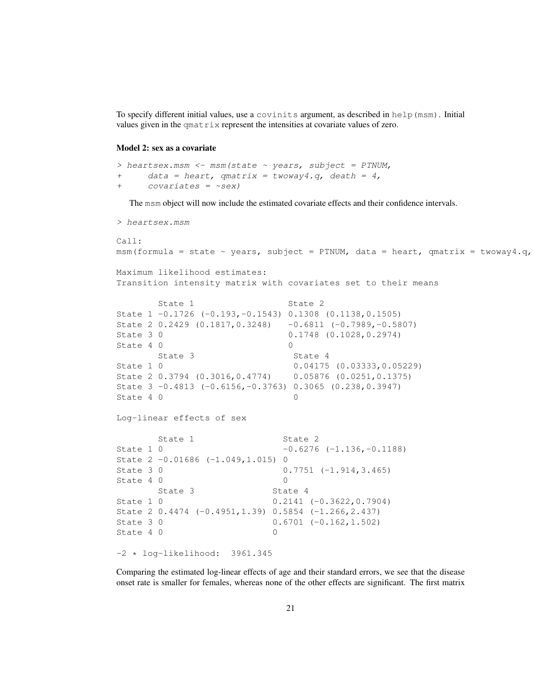To specify different initial values, use a covinits argument, as described in help(msm). Initial values given in the qmatrix represent the intensities at covariate values of zero.

#### Model 2: sex as a covariate

```
> heartsex.msm <- msm (state \sim years, subject = PTNUM,
+ data = heart, qmatrix = twoway4.q, death = 4,
+ covariates = ~\simsex)
```
The msm object will now include the estimated covariate effects and their confidence intervals.

```
> heartsex.msm
Call:
msm(formula = state ~ years, subject = PTNUM, data = heart, qmatrix = twoway4.q,
Maximum likelihood estimates:
Transition intensity matrix with covariates set to their means
      State 1 State 2
State 1 -0.1726 (-0.193,-0.1543) 0.1308 (0.1138,0.1505)
State 2 0.2429 (0.1817,0.3248) -0.6811 (-0.7989,-0.5807)
State 3 0 0.1748 (0.1028, 0.2974)
State 4 0 0
     State 3 State 4
State 1 0 0.04175 (0.03333,0.05229)
State 2 0.3794 (0.3016,0.4774) 0.05876 (0.0251,0.1375)
State 3 -0.4813 (-0.6156,-0.3763) 0.3065 (0.238,0.3947)
State 4 0 0
Log-linear effects of sex
      State 1 State 2
State 1 0 -0.6276 (-1.136,-0.1188)
State 2 -0.01686 (-1.049,1.015) 0
State 3 0 0.7751 (-1.914, 3.465)
State 4 0 0
     State 3 State 4
State 1 0 0.2141 (-0.3622, 0.7904)
State 2 0.4474 (-0.4951,1.39) 0.5854 (-1.266,2.437)
State 3 0 0.6701 (-0.162, 1.502)
State 4 0 0 0
-2 * log-likelihood: 3961.345
```
Comparing the estimated log-linear effects of age and their standard errors, we see that the disease onset rate is smaller for females, whereas none of the other effects are significant. The first matrix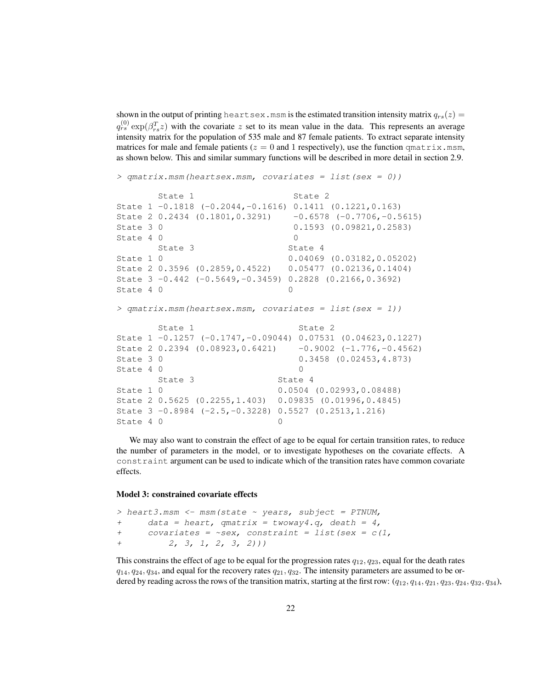shown in the output of printing heartsex.msm is the estimated transition intensity matrix  $q_{rs}(z)$  =  $q_{rs}^{(0)} \exp(\beta_{rs}^T z)$  with the covariate z set to its mean value in the data. This represents an average intensity matrix for the population of 535 male and 87 female patients. To extract separate intensity matrices for male and female patients ( $z = 0$  and 1 respectively), use the function  $\varphi$  and  $\tau$  is  $x$ , msm, as shown below. This and similar summary functions will be described in more detail in section 2.9.

```
> qmatrix.msm(heartsex.msm, covariates = list(sex = 0))
      State 1 State 2
State 1 -0.1818 (-0.2044,-0.1616) 0.1411 (0.1221,0.163)
State 2 0.2434 (0.1801, 0.3291) -0.6578 (-0.7706, -0.5615)State 3 0 0.1593 (0.09821, 0.2583)
State 4 0 0
      State 3 State 4
State 1 0 0.04069 (0.03182, 0.05202)
State 2 0.3596 (0.2859,0.4522) 0.05477 (0.02136,0.1404)
State 3 -0.442 (-0.5649,-0.3459) 0.2828 (0.2166,0.3692)
State 4 0 0
> qmatrix.msm(heartsex.msm, covariates = list(sex = 1))
      State 1 State 2
State 1 -0.1257 (-0.1747,-0.09044) 0.07531 (0.04623,0.1227)
State 2 0.2394 (0.08923, 0.6421) -0.9002 (-1.776, -0.4562)
State 3 0 0.3458 (0.02453, 4.873)
State 4 0 0
      State 3 State 4
State 1 0 0.0504 (0.02993,0.08488)
State 2 0.5625 (0.2255,1.403) 0.09835 (0.01996,0.4845)
State 3 -0.8984 (-2.5,-0.3228) 0.5527 (0.2513,1.216)
State 4 0 0
```
We may also want to constrain the effect of age to be equal for certain transition rates, to reduce the number of parameters in the model, or to investigate hypotheses on the covariate effects. A constraint argument can be used to indicate which of the transition rates have common covariate effects.

#### Model 3: constrained covariate effects

```
> heart3.msm <- msm(state \sim years, subject = PTNUM,
+ data = heart, qmatrix = twoway4.q, death = 4,
+ covariates = ~\simsex, constraint = list(sex = c(1,+ 2, 3, 1, 2, 3, 2)))
```
This constrains the effect of age to be equal for the progression rates  $q_{12}$ ,  $q_{23}$ , equal for the death rates  $q_{14}$ ,  $q_{24}$ ,  $q_{34}$ , and equal for the recovery rates  $q_{21}$ ,  $q_{32}$ . The intensity parameters are assumed to be ordered by reading across the rows of the transition matrix, starting at the first row:  $(q_{12}, q_{14}, q_{21}, q_{23}, q_{24}, q_{32}, q_{34})$ ,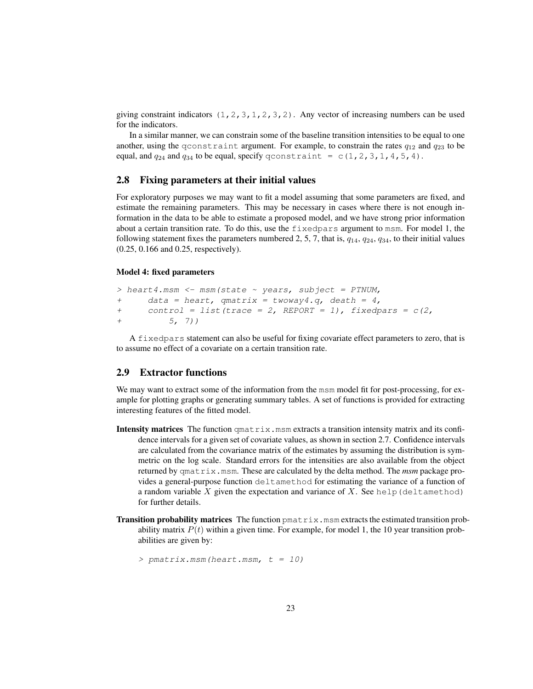giving constraint indicators  $(1, 2, 3, 1, 2, 3, 2)$ . Any vector of increasing numbers can be used for the indicators.

In a similar manner, we can constrain some of the baseline transition intensities to be equal to one another, using the qconstraint argument. For example, to constrain the rates  $q_{12}$  and  $q_{23}$  to be equal, and  $q_{24}$  and  $q_{34}$  to be equal, specify qconstraint = c(1,2,3,1,4,5,4).

## 2.8 Fixing parameters at their initial values

For exploratory purposes we may want to fit a model assuming that some parameters are fixed, and estimate the remaining parameters. This may be necessary in cases where there is not enough information in the data to be able to estimate a proposed model, and we have strong prior information about a certain transition rate. To do this, use the fixedpars argument to msm. For model 1, the following statement fixes the parameters numbered 2, 5, 7, that is,  $q_{14}$ ,  $q_{24}$ ,  $q_{34}$ , to their initial values (0.25, 0.166 and 0.25, respectively).

#### Model 4: fixed parameters

```
> heart4.msm <- msm (state ~ years, subject = PTNUM,
+ data = heart, qmatrix = twoway4.q, death = 4,
+ control = list(trace = 2, REPORT = 1), fixedpars = c(2,+ 5, 7))
```
A fixedpars statement can also be useful for fixing covariate effect parameters to zero, that is to assume no effect of a covariate on a certain transition rate.

## 2.9 Extractor functions

We may want to extract some of the information from the msm model fit for post-processing, for example for plotting graphs or generating summary tables. A set of functions is provided for extracting interesting features of the fitted model.

- **Intensity matrices** The function  $\text{qmatrix}$ ,  $\text{msm}$  extracts a transition intensity matrix and its confidence intervals for a given set of covariate values, as shown in section 2.7. Confidence intervals are calculated from the covariance matrix of the estimates by assuming the distribution is symmetric on the log scale. Standard errors for the intensities are also available from the object returned by qmatrix.msm. These are calculated by the delta method. The *msm* package provides a general-purpose function deltamethod for estimating the variance of a function of a random variable  $X$  given the expectation and variance of  $X$ . See help (deltamethod) for further details.
- Transition probability matrices The function pmatrix.msm extracts the estimated transition probability matrix  $P(t)$  within a given time. For example, for model 1, the 10 year transition probabilities are given by:

> pmatrix.msm(heart.msm, t = 10)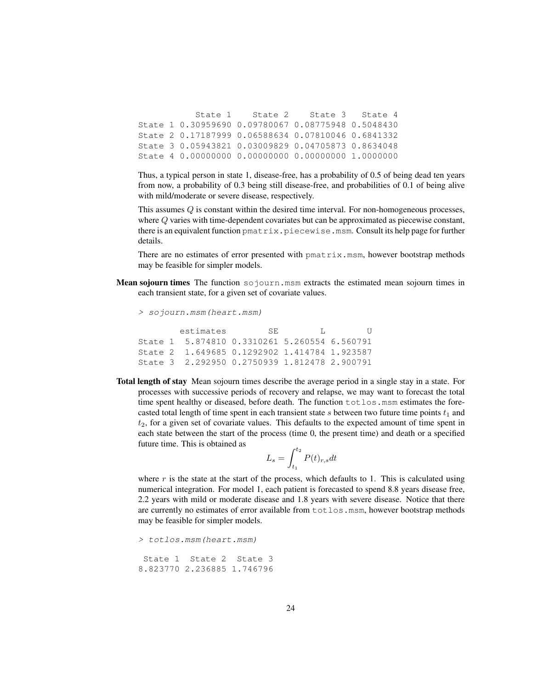State 1 State 2 State 3 State 4 State 1 0.30959690 0.09780067 0.08775948 0.5048430 State 2 0.17187999 0.06588634 0.07810046 0.6841332 State 3 0.05943821 0.03009829 0.04705873 0.8634048 State 4 0.00000000 0.00000000 0.00000000 1.0000000

Thus, a typical person in state 1, disease-free, has a probability of 0.5 of being dead ten years from now, a probability of 0.3 being still disease-free, and probabilities of 0.1 of being alive with mild/moderate or severe disease, respectively.

This assumes Q is constant within the desired time interval. For non-homogeneous processes, where Q varies with time-dependent covariates but can be approximated as piecewise constant, there is an equivalent function pmatrix.piecewise.msm. Consult its help page for further details.

There are no estimates of error presented with  $p$ matrix.msm, however bootstrap methods may be feasible for simpler models.

**Mean sojourn times** The function  $\infty$  journ.msm extracts the estimated mean sojourn times in each transient state, for a given set of covariate values.

> sojourn.msm(heart.msm)

estimates SE L U State 1 5.874810 0.3310261 5.260554 6.560791 State 2 1.649685 0.1292902 1.414784 1.923587 State 3 2.292950 0.2750939 1.812478 2.900791

Total length of stay Mean sojourn times describe the average period in a single stay in a state. For processes with successive periods of recovery and relapse, we may want to forecast the total time spent healthy or diseased, before death. The function  $totlos$ .msm estimates the forecasted total length of time spent in each transient state s between two future time points  $t_1$  and  $t_2$ , for a given set of covariate values. This defaults to the expected amount of time spent in each state between the start of the process (time 0, the present time) and death or a specified future time. This is obtained as

$$
L_s = \int_{t_1}^{t_2} P(t)_{r,s} dt
$$

where  $r$  is the state at the start of the process, which defaults to 1. This is calculated using numerical integration. For model 1, each patient is forecasted to spend 8.8 years disease free, 2.2 years with mild or moderate disease and 1.8 years with severe disease. Notice that there are currently no estimates of error available from  $totlos$ .msm, however bootstrap methods may be feasible for simpler models.

```
> totlos.msm(heart.msm)
State 1 State 2 State 3
8.823770 2.236885 1.746796
```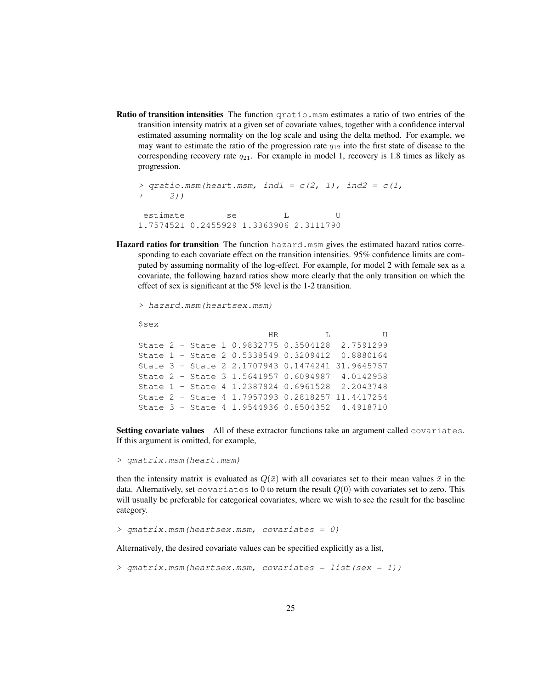Ratio of transition intensities The function qratio.msm estimates a ratio of two entries of the transition intensity matrix at a given set of covariate values, together with a confidence interval estimated assuming normality on the log scale and using the delta method. For example, we may want to estimate the ratio of the progression rate  $q_{12}$  into the first state of disease to the corresponding recovery rate  $q_{21}$ . For example in model 1, recovery is 1.8 times as likely as progression.

```
> qratio.msm(heart.msm, ind1 = c(2, 1), ind2 = c(1, 1)+ 2))
estimate se L U
1.7574521 0.2455929 1.3363906 2.3111790
```
Hazard ratios for transition The function hazard.msm gives the estimated hazard ratios corresponding to each covariate effect on the transition intensities. 95% confidence limits are computed by assuming normality of the log-effect. For example, for model 2 with female sex as a covariate, the following hazard ratios show more clearly that the only transition on which the effect of sex is significant at the 5% level is the 1-2 transition.

```
> hazard.msm(heartsex.msm)
```
\$sex

HR L U State 2 - State 1 0.9832775 0.3504128 2.7591299 State 1 - State 2 0.5338549 0.3209412 0.8880164 State 3 - State 2 2.1707943 0.1474241 31.9645757 State 2 - State 3 1.5641957 0.6094987 4.0142958 State 1 - State 4 1.2387824 0.6961528 2.2043748 State 2 - State 4 1.7957093 0.2818257 11.4417254 State 3 - State 4 1.9544936 0.8504352 4.4918710

Setting covariate values All of these extractor functions take an argument called covariates. If this argument is omitted, for example,

> qmatrix.msm(heart.msm)

then the intensity matrix is evaluated as  $Q(\bar{x})$  with all covariates set to their mean values  $\bar{x}$  in the data. Alternatively, set covariates to 0 to return the result  $Q(0)$  with covariates set to zero. This will usually be preferable for categorical covariates, where we wish to see the result for the baseline category.

```
> qmatrix.msm(heartsex.msm, covariates = 0)
```
Alternatively, the desired covariate values can be specified explicitly as a list,

```
> qmatrix.msm(heartsex.msm, covariates = list(sex = 1))
```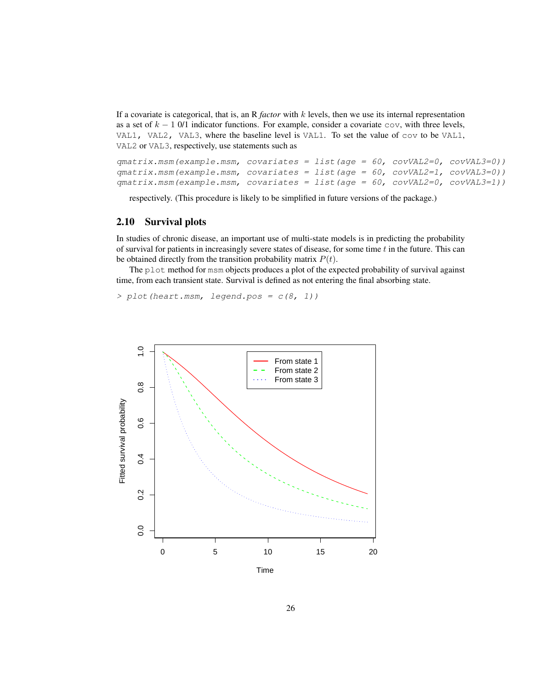If a covariate is categorical, that is, an R *factor* with k levels, then we use its internal representation as a set of  $k - 1$  0/1 indicator functions. For example, consider a covariate cov, with three levels, VAL1, VAL2, VAL3, where the baseline level is VAL1. To set the value of cov to be VAL1, VAL2 or VAL3, respectively, use statements such as

```
qmatrix.msm(example.msm, covariates = list(age = 60, covVAL2=0, covVAL3=0))
qmatrix.msm(example.msm, covariates = list(age = 60, covVAL2=1, covVAL3=0))
qmatrix.msm(example.msm, covariates = list(age = 60, covVAL2=0, covVAL3=1))
```
respectively. (This procedure is likely to be simplified in future versions of the package.)

## 2.10 Survival plots

In studies of chronic disease, an important use of multi-state models is in predicting the probability of survival for patients in increasingly severe states of disease, for some time  $t$  in the future. This can be obtained directly from the transition probability matrix  $P(t)$ .

The plot method for msm objects produces a plot of the expected probability of survival against time, from each transient state. Survival is defined as not entering the final absorbing state.

 $> plot (heart.msm, legend.pos =  $c(8, 1)$ )$ 

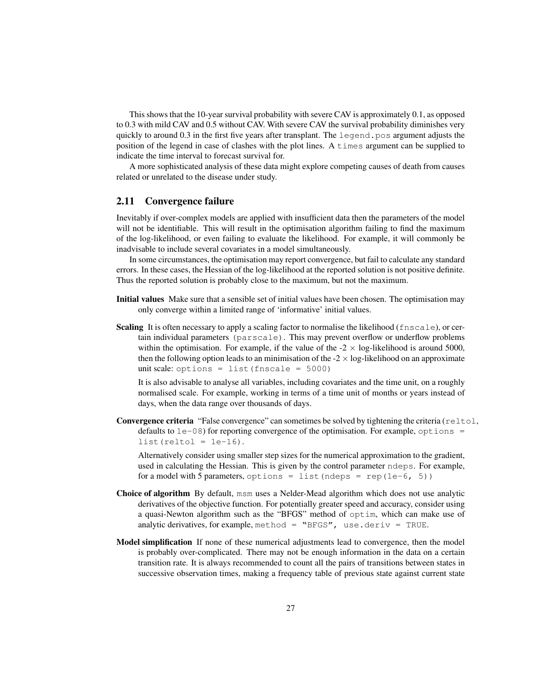This shows that the 10-year survival probability with severe CAV is approximately 0.1, as opposed to 0.3 with mild CAV and 0.5 without CAV. With severe CAV the survival probability diminishes very quickly to around  $0.3$  in the first five years after transplant. The legend.pos argument adjusts the position of the legend in case of clashes with the plot lines. A times argument can be supplied to indicate the time interval to forecast survival for.

A more sophisticated analysis of these data might explore competing causes of death from causes related or unrelated to the disease under study.

## 2.11 Convergence failure

Inevitably if over-complex models are applied with insufficient data then the parameters of the model will not be identifiable. This will result in the optimisation algorithm failing to find the maximum of the log-likelihood, or even failing to evaluate the likelihood. For example, it will commonly be inadvisable to include several covariates in a model simultaneously.

In some circumstances, the optimisation may report convergence, but fail to calculate any standard errors. In these cases, the Hessian of the log-likelihood at the reported solution is not positive definite. Thus the reported solution is probably close to the maximum, but not the maximum.

- Initial values Make sure that a sensible set of initial values have been chosen. The optimisation may only converge within a limited range of 'informative' initial values.
- Scaling It is often necessary to apply a scaling factor to normalise the likelihood (fnscale), or certain individual parameters (parscale). This may prevent overflow or underflow problems within the optimisation. For example, if the value of the  $-2 \times \log$ -likelihood is around 5000, then the following option leads to an minimisation of the  $-2 \times \log$ -likelihood on an approximate unit scale: options = list (fnscale =  $5000$ )

It is also advisable to analyse all variables, including covariates and the time unit, on a roughly normalised scale. For example, working in terms of a time unit of months or years instead of days, when the data range over thousands of days.

Convergence criteria "False convergence" can sometimes be solved by tightening the criteria (reltol, defaults to  $1e-08$ ) for reporting convergence of the optimisation. For example, options =  $list(reltol = 1e-16)$ .

Alternatively consider using smaller step sizes for the numerical approximation to the gradient, used in calculating the Hessian. This is given by the control parameter ndeps. For example, for a model with 5 parameters, options = list(ndeps = rep(1e-6, 5))

- Choice of algorithm By default, msm uses a Nelder-Mead algorithm which does not use analytic derivatives of the objective function. For potentially greater speed and accuracy, consider using a quasi-Newton algorithm such as the "BFGS" method of optim, which can make use of analytic derivatives, for example, method = "BFGS", use.deriv = TRUE.
- Model simplification If none of these numerical adjustments lead to convergence, then the model is probably over-complicated. There may not be enough information in the data on a certain transition rate. It is always recommended to count all the pairs of transitions between states in successive observation times, making a frequency table of previous state against current state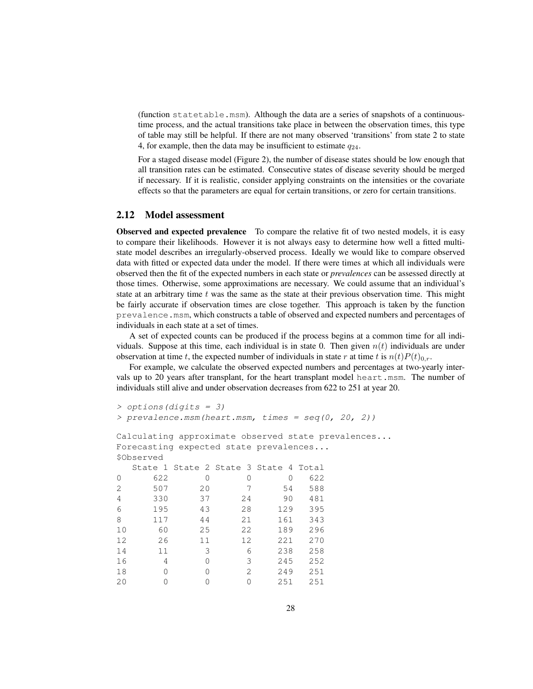(function statetable.msm). Although the data are a series of snapshots of a continuoustime process, and the actual transitions take place in between the observation times, this type of table may still be helpful. If there are not many observed 'transitions' from state 2 to state 4, for example, then the data may be insufficient to estimate  $q_{24}$ .

For a staged disease model (Figure 2), the number of disease states should be low enough that all transition rates can be estimated. Consecutive states of disease severity should be merged if necessary. If it is realistic, consider applying constraints on the intensities or the covariate effects so that the parameters are equal for certain transitions, or zero for certain transitions.

### 2.12 Model assessment

Observed and expected prevalence To compare the relative fit of two nested models, it is easy to compare their likelihoods. However it is not always easy to determine how well a fitted multistate model describes an irregularly-observed process. Ideally we would like to compare observed data with fitted or expected data under the model. If there were times at which all individuals were observed then the fit of the expected numbers in each state or *prevalences* can be assessed directly at those times. Otherwise, some approximations are necessary. We could assume that an individual's state at an arbitrary time  $t$  was the same as the state at their previous observation time. This might be fairly accurate if observation times are close together. This approach is taken by the function prevalence.msm, which constructs a table of observed and expected numbers and percentages of individuals in each state at a set of times.

A set of expected counts can be produced if the process begins at a common time for all individuals. Suppose at this time, each individual is in state 0. Then given  $n(t)$  individuals are under observation at time t, the expected number of individuals in state r at time t is  $n(t)P(t)_{0,r}$ .

For example, we calculate the observed expected numbers and percentages at two-yearly intervals up to 20 years after transplant, for the heart transplant model heart.msm. The number of individuals still alive and under observation decreases from 622 to 251 at year 20.

```
> options(digits = 3)
> prevalence.msm(heart.msm, times = seq(0, 20, 2))
Calculating approximate observed state prevalences...
Forecasting expected state prevalences...
$Observed
 State 1 State 2 State 3 State 4 Total
0 622 0 0 0 622
2 507 20 7 54 588
4 330 37 24 90 481
6 195 43 28 129 395
8 117 44 21 161 343
10 60 25 22 189 296
12 26 11 12 221 270
14 11 3 6 238 258
16 4 0 3 245 252
18 0 0 2 249 251
20 0 0 0 251 251
```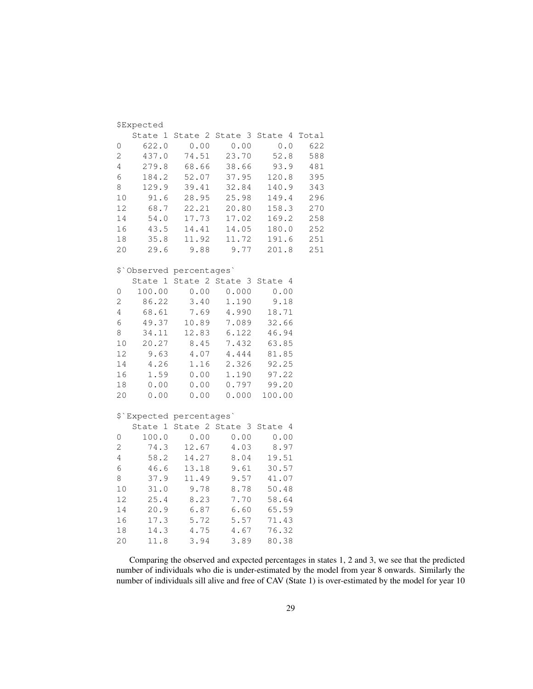|                | <b>\$Expected</b>       |                |         |                                                       |       |
|----------------|-------------------------|----------------|---------|-------------------------------------------------------|-------|
|                | State 1                 | State 2        | State 3 | State 4                                               | Total |
| 0              | 622.0                   | 0.00           | 0.00    | $\ensuremath{\mathbf{0}}$ . $\ensuremath{\mathbf{0}}$ | 622   |
| 2              | 437.0                   | 74.51          | 23.70   | 52.8                                                  | 588   |
| 4              | 279.8                   | 68.66          | 38.66   | 93.9                                                  | 481   |
| 6              | 184.2                   | 52.07          | 37.95   | 120.8                                                 | 395   |
| 8              | 129.9                   | 39.41          | 32.84   | 140.9                                                 | 343   |
| $10$           | 91.6                    | 28.95          | 25.98   | 149.4                                                 | 296   |
| 12             | 68.7                    | 22.21          | 20.80   | 158.3                                                 | 270   |
| 14             | 54.0                    | 17.73          | 17.02   | 169.2                                                 | 258   |
| 16             | 43.5                    | 14.41          | 14.05   | 180.0                                                 | 252   |
| 18             | 35.8                    | 11.92          | 11.72   | 191.6                                                 | 251   |
| 20             | 29.6                    | 9.88           | 9.77    | 201.8                                                 | 251   |
|                | \$ Observed percentages |                |         |                                                       |       |
|                | State 1                 | State 2        | State 3 | State 4                                               |       |
| 0              | 100.00                  | 0.00           | 0.000   | 0.00                                                  |       |
| 2              | 86.22                   | 3.40           | 1.190   | 9.18                                                  |       |
| $\overline{4}$ | 68.61                   | 7.69           | 4.990   | 18.71                                                 |       |
| 6              | 49.37                   | 10.89          | 7.089   | 32.66                                                 |       |
| 8              | 34.11                   | 12.83          | 6.122   | 46.94                                                 |       |
| 10             | 20.27                   | 8.45           | 7.432   | 63.85                                                 |       |
| 12             | 9.63                    | 4.07           | 4.444   | 81.85                                                 |       |
| 14             | 4.26                    | 1.16           | 2.326   | 92.25                                                 |       |
| 16             | 1.59                    | 0.00           | 1.190   | 97.22                                                 |       |
| 18             | 0.00                    | $0\,$ . $0\,0$ | 0.797   | 99.20                                                 |       |
| 20             | 0.00                    | 0.00           | 0.000   | 100.00                                                |       |
|                | \$ Expected percentages |                |         |                                                       |       |
|                | State 1                 | State 2        | State 3 | State 4                                               |       |
| 0              | 100.0                   | 0.00           | 0.00    | 0.00                                                  |       |
| $\overline{c}$ | 74.3                    | 12.67          | 4.03    | 8.97                                                  |       |
| 4              | 58.2                    | 14.27          | 8.04    | 19.51                                                 |       |
| 6              | $4\,6$ . $6$            | 13.18          | 9.61    | 30.57                                                 |       |
| 8              | 37.9                    | 11.49          | 9.57    | 41.07                                                 |       |
| 10             | 31.0                    | 9.78           | 8.78    | 50.48                                                 |       |
| 12             | 25.4                    | 8.23           | 7.70    | 58.64                                                 |       |
| 14             | 20.9                    | 6.87           | 6.60    | 65.59                                                 |       |
| 16             | 17.3                    | 5.72           | 5.57    | 71.43                                                 |       |
| 18             | 14.3                    | 4.75           | 4.67    | 76.32                                                 |       |
| 20             | 11.8                    | 3.94           | 3.89    | 80.38                                                 |       |

Comparing the observed and expected percentages in states 1, 2 and 3, we see that the predicted number of individuals who die is under-estimated by the model from year 8 onwards. Similarly the number of individuals sill alive and free of CAV (State 1) is over-estimated by the model for year 10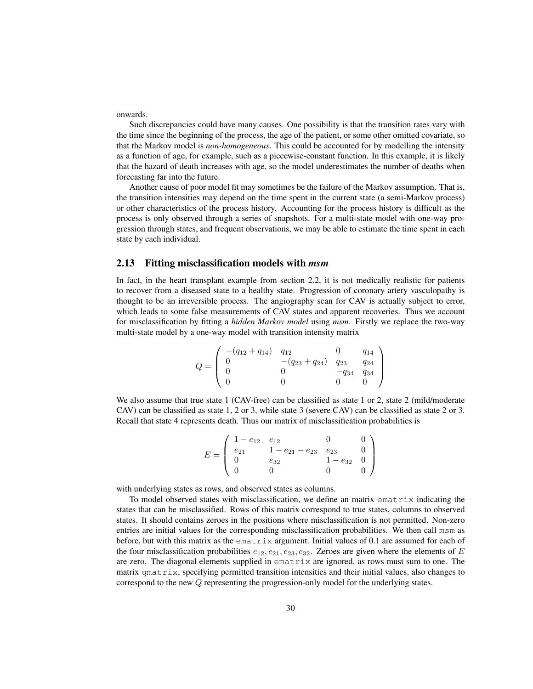onwards.

Such discrepancies could have many causes. One possibility is that the transition rates vary with the time since the beginning of the process, the age of the patient, or some other omitted covariate, so that the Markov model is *non-homogeneous*. This could be accounted for by modelling the intensity as a function of age, for example, such as a piecewise-constant function. In this example, it is likely that the hazard of death increases with age, so the model underestimates the number of deaths when forecasting far into the future.

Another cause of poor model fit may sometimes be the failure of the Markov assumption. That is, the transition intensities may depend on the time spent in the current state (a semi-Markov process) or other characteristics of the process history. Accounting for the process history is difficult as the process is only observed through a series of snapshots. For a multi-state model with one-way progression through states, and frequent observations, we may be able to estimate the time spent in each state by each individual.

### 2.13 Fitting misclassification models with *msm*

In fact, in the heart transplant example from section 2.2, it is not medically realistic for patients to recover from a diseased state to a healthy state. Progression of coronary artery vasculopathy is thought to be an irreversible process. The angiography scan for CAV is actually subject to error, which leads to some false measurements of CAV states and apparent recoveries. Thus we account for misclassification by fitting a *hidden Markov model* using *msm*. Firstly we replace the two-way multi-state model by a one-way model with transition intensity matrix

$$
Q = \left(\begin{array}{cccc} -(q_{12} + q_{14}) & q_{12} & 0 & q_{14} \\ 0 & -(q_{23} + q_{24}) & q_{23} & q_{24} \\ 0 & 0 & -q_{34} & q_{34} \\ 0 & 0 & 0 & 0 \end{array}\right)
$$

We also assume that true state 1 (CAV-free) can be classified as state 1 or 2, state 2 (mild/moderate CAV) can be classified as state 1, 2 or 3, while state 3 (severe CAV) can be classified as state 2 or 3. Recall that state 4 represents death. Thus our matrix of misclassification probabilities is

$$
E = \begin{pmatrix} 1 - e_{12} & e_{12} & 0 & 0 \ e_{21} & 1 - e_{21} - e_{23} & e_{23} & 0 \ 0 & e_{32} & 1 - e_{32} & 0 \ 0 & 0 & 0 & 0 \end{pmatrix}
$$

with underlying states as rows, and observed states as columns.

To model observed states with misclassification, we define an matrix ematrix indicating the states that can be misclassified. Rows of this matrix correspond to true states, columns to observed states. It should contains zeroes in the positions where misclassification is not permitted. Non-zero entries are initial values for the corresponding misclassification probabilities. We then call msm as before, but with this matrix as the ematrix argument. Initial values of 0.1 are assumed for each of the four misclassification probabilities  $e_{12}, e_{21}, e_{23}, e_{32}$ . Zeroes are given where the elements of E are zero. The diagonal elements supplied in ematrix are ignored, as rows must sum to one. The matrix qmatrix, specifying permitted transition intensities and their initial values, also changes to correspond to the new Q representing the progression-only model for the underlying states.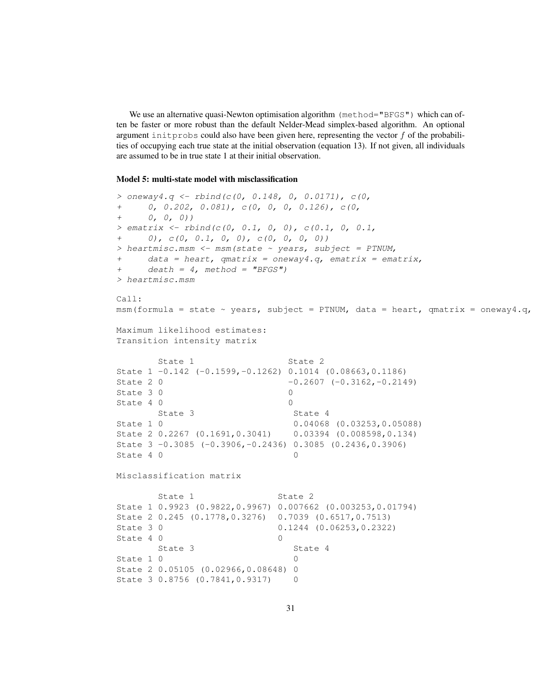We use an alternative quasi-Newton optimisation algorithm (method="BFGS") which can often be faster or more robust than the default Nelder-Mead simplex-based algorithm. An optional argument initprobs could also have been given here, representing the vector  $f$  of the probabilities of occupying each true state at the initial observation (equation 13). If not given, all individuals are assumed to be in true state 1 at their initial observation.

#### Model 5: multi-state model with misclassification

```
> oneway4.q <- rbind(c(0, 0.148, 0, 0.0171), c(0, 0.0171)+ 0, 0.202, 0.081), c(0, 0, 0, 0.126), c(0,
+ 0, 0, 0))
> ematrix \le rbind(c(0, 0.1, 0, 0), c(0.1, 0, 0.1,
     (0), c(0, 0.1, 0, 0), c(0, 0, 0, 0))> heartmisc.msm <- msm(state ~ years, subject = PTNUM,
    data = heart, qmatrix = oneway4.q, ematrix = ematrix,+ death = 4, method = "BFGS")
> heartmisc.msm
Call:
msm(formula = state ~ years, subject = PTNUM, data = heart, qmatrix = oneway4.q,
Maximum likelihood estimates:
Transition intensity matrix
      State 1 State 2
State 1 -0.142 (-0.1599,-0.1262) 0.1014 (0.08663,0.1186)
State 2 0 -0.2607 (-0.3162,-0.2149)
State 3 0 0
State 4 0 0
      State 3 State 4
State 1 0 0.04068 (0.03253,0.05088)
State 2 0.2267 (0.1691,0.3041) 0.03394 (0.008598,0.134)
State 3 -0.3085 (-0.3906,-0.2436) 0.3085 (0.2436,0.3906)
State 4 0 0
Misclassification matrix
      State 1 State 2
State 1 0.9923 (0.9822,0.9967) 0.007662 (0.003253,0.01794)
State 2 0.245 (0.1778,0.3276) 0.7039 (0.6517,0.7513)
State 3 0 0.1244 (0.06253,0.2322)
State 4 0 0 0
      State 3 State 4
State 1 0 0
State 2 0.05105 (0.02966,0.08648) 0
State 3 0.8756 (0.7841, 0.9317) 0
```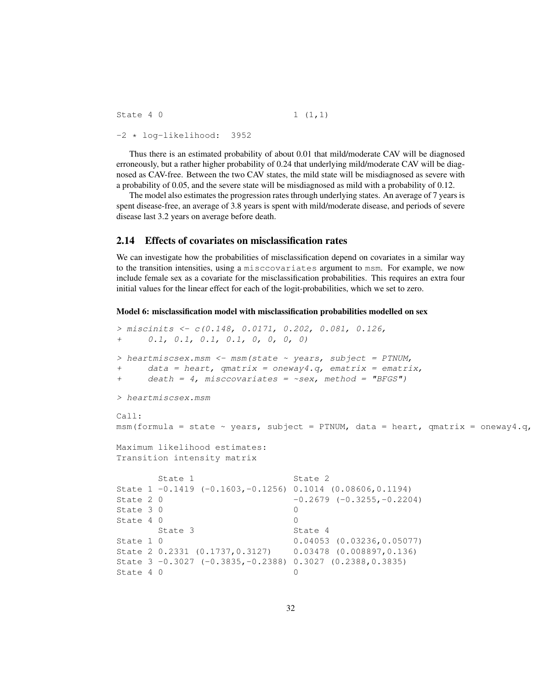State 4 0  $1 (1,1)$ -2 \* log-likelihood: 3952

Thus there is an estimated probability of about 0.01 that mild/moderate CAV will be diagnosed erroneously, but a rather higher probability of 0.24 that underlying mild/moderate CAV will be diagnosed as CAV-free. Between the two CAV states, the mild state will be misdiagnosed as severe with a probability of 0.05, and the severe state will be misdiagnosed as mild with a probability of 0.12.

The model also estimates the progression rates through underlying states. An average of 7 years is spent disease-free, an average of 3.8 years is spent with mild/moderate disease, and periods of severe disease last 3.2 years on average before death.

#### 2.14 Effects of covariates on misclassification rates

We can investigate how the probabilities of misclassification depend on covariates in a similar way to the transition intensities, using a misccovariates argument to msm. For example, we now include female sex as a covariate for the misclassification probabilities. This requires an extra four initial values for the linear effect for each of the logit-probabilities, which we set to zero.

Model 6: misclassification model with misclassification probabilities modelled on sex

```
> miscinits <- c(0.148, 0.0171, 0.202, 0.081, 0.126,
     0.1, 0.1, 0.1, 0.1, 0, 0, 0, 0)> heartmiscsex.msm <- msm (state ~ years, subject = PTNUM,
+ data = heart, qmatrix = oneway4.q, ematrix = ematrix,
+ death = 4, misccovariates = \simsex, method = "BFGS")
> heartmiscsex.msm
Call:
msm(formula = state ~<sup>v</sup> years, subject = PTNUM, data = heart, qmatrix = oneway4.q,Maximum likelihood estimates:
Transition intensity matrix
      State 1 State 2
State 1 -0.1419 (-0.1603,-0.1256) 0.1014 (0.08606,0.1194)
State 2 0 -0.2679 (-0.3255,-0.2204)
State 3 \t0 0
State 4 0 0
      State 3 State 4
State 1 0 0.04053 (0.03236,0.05077)
State 2 0.2331 (0.1737,0.3127) 0.03478 (0.008897,0.136)
State 3 -0.3027 (-0.3835,-0.2388) 0.3027 (0.2388,0.3835)
State 4 0 0
```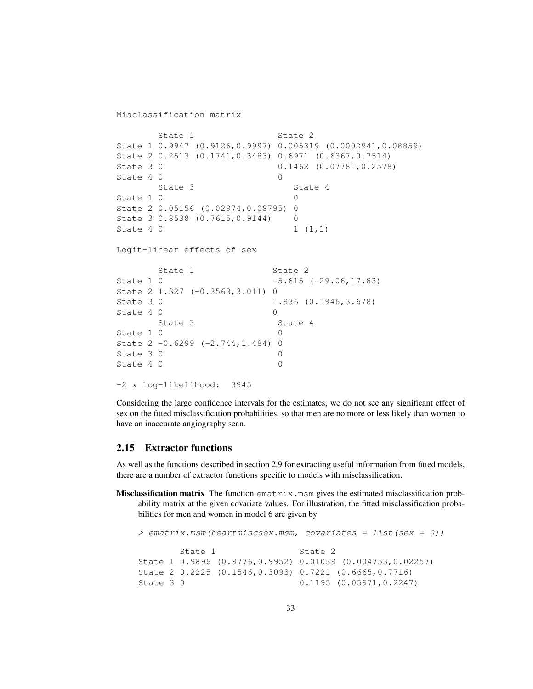Misclassification matrix

```
State 1 State 2
State 1 0.9947 (0.9126,0.9997) 0.005319 (0.0002941,0.08859)
State 2 0.2513 (0.1741,0.3483) 0.6971 (0.6367,0.7514)
State 3 0 0.1462 (0.07781, 0.2578)
State 4 0 0 0
     State 3 State 4
State 1 0 0
State 2 0.05156 (0.02974,0.08795) 0
State 3 0.8538 (0.7615, 0.9144) 0
State 4 0 1 (1,1)Logit-linear effects of sex
     State 1 State 2
State 1 0 -5.615 (-29.06,17.83)
State 2 1.327 (-0.3563,3.011) 0
State 3 0 1.936 (0.1946, 3.678)
State 4 0 0
     State 3 State 4
State 1 \t0 0
State 2 -0.6299 (-2.744,1.484) 0
State 3 0 0
State 4 0 0 0
-2 * log-likelihood: 3945
```
Considering the large confidence intervals for the estimates, we do not see any significant effect of sex on the fitted misclassification probabilities, so that men are no more or less likely than women to have an inaccurate angiography scan.

### 2.15 Extractor functions

As well as the functions described in section 2.9 for extracting useful information from fitted models, there are a number of extractor functions specific to models with misclassification.

**Misclassification matrix** The function  $\text{ematrix}$ ,  $\text{msm gives the estimated misclassification probability distribution.}$ ability matrix at the given covariate values. For illustration, the fitted misclassification probabilities for men and women in model 6 are given by

```
> ematrix.msm(heartmiscsex.msm, covariates = list(sex = 0))
       State 1 State 2
State 1 0.9896 (0.9776,0.9952) 0.01039 (0.004753,0.02257)
State 2 0.2225 (0.1546,0.3093) 0.7221 (0.6665,0.7716)
State 3 0 0.1195 (0.05971, 0.2247)
```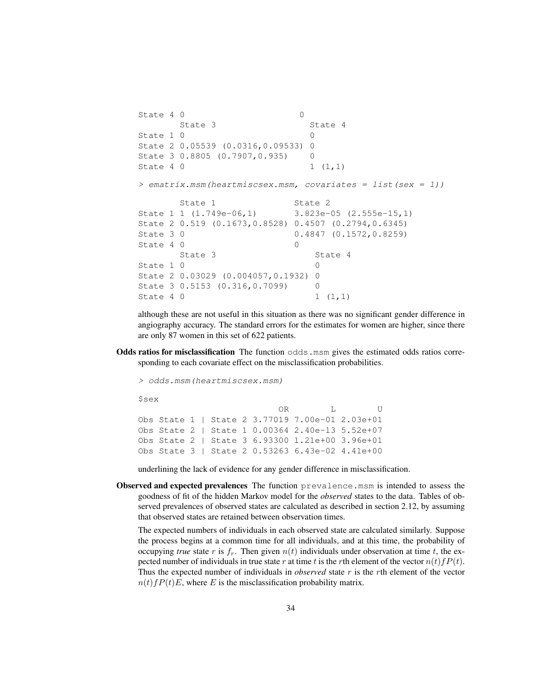```
State 4 0 0
     State 3 State 4
State 1 0 0
State 2 0.05539 (0.0316,0.09533) 0
State 3 0.8805 (0.7907, 0.935) 0
State 4 0 1 (1, 1)
> ematrix.msm(heartmiscsex.msm, covariates = list(sex = 1))
     State 1 State 2
State 1 1 (1.749e-06,1) 3.823e-05 (2.555e-15,1)
State 2 0.519 (0.1673,0.8528) 0.4507 (0.2794,0.6345)
State 3 0 0.4847 (0.1572, 0.8259)
State 4 0 0 0
     State 3 State 4
State 1 0 0
State 2 0.03029 (0.004057,0.1932) 0
State 3 0.5153 (0.316, 0.7099) 0
State 4 0 1 (1,1)
```
although these are not useful in this situation as there was no significant gender difference in angiography accuracy. The standard errors for the estimates for women are higher, since there are only 87 women in this set of 622 patients.

Odds ratios for misclassification The function  $\circ$ dds.msm gives the estimated odds ratios corresponding to each covariate effect on the misclassification probabilities.

> odds.msm(heartmiscsex.msm)

```
$sex
```
OR L U Obs State 1 | State 2 3.77019 7.00e-01 2.03e+01 Obs State 2 | State 1 0.00364 2.40e-13 5.52e+07 Obs State 2 | State 3 6.93300 1.21e+00 3.96e+01 Obs State 3 | State 2 0.53263 6.43e-02 4.41e+00

underlining the lack of evidence for any gender difference in misclassification.

**Observed and expected prevalences** The function prevalence.msm is intended to assess the goodness of fit of the hidden Markov model for the *observed* states to the data. Tables of observed prevalences of observed states are calculated as described in section 2.12, by assuming that observed states are retained between observation times.

The expected numbers of individuals in each observed state are calculated similarly. Suppose the process begins at a common time for all individuals, and at this time, the probability of occupying *true* state r is  $f_r$ . Then given  $n(t)$  individuals under observation at time t, the expected number of individuals in true state r at time t is the rth element of the vector  $n(t)$   $fP(t)$ . Thus the expected number of individuals in *observed* state r is the rth element of the vector  $n(t) fP(t)E$ , where E is the misclassification probability matrix.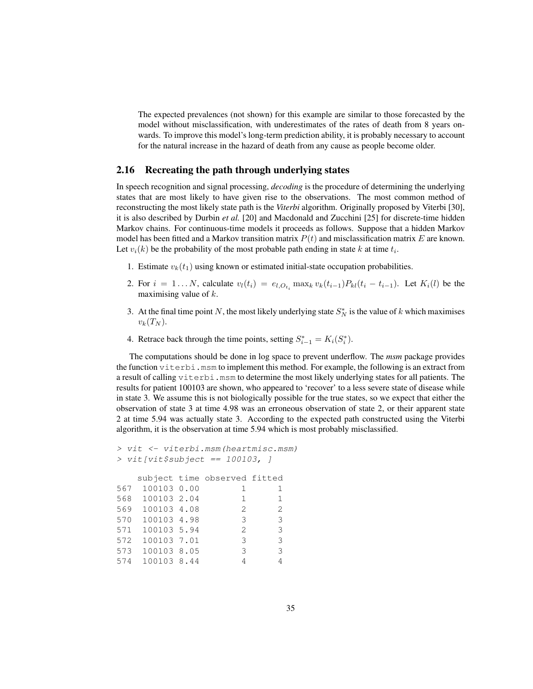The expected prevalences (not shown) for this example are similar to those forecasted by the model without misclassification, with underestimates of the rates of death from 8 years onwards. To improve this model's long-term prediction ability, it is probably necessary to account for the natural increase in the hazard of death from any cause as people become older.

### 2.16 Recreating the path through underlying states

In speech recognition and signal processing, *decoding* is the procedure of determining the underlying states that are most likely to have given rise to the observations. The most common method of reconstructing the most likely state path is the *Viterbi* algorithm. Originally proposed by Viterbi [30], it is also described by Durbin *et al.* [20] and Macdonald and Zucchini [25] for discrete-time hidden Markov chains. For continuous-time models it proceeds as follows. Suppose that a hidden Markov model has been fitted and a Markov transition matrix  $P(t)$  and misclassification matrix E are known. Let  $v_i(k)$  be the probability of the most probable path ending in state k at time  $t_i$ .

- 1. Estimate  $v_k(t_1)$  using known or estimated initial-state occupation probabilities.
- 2. For  $i = 1...N$ , calculate  $v_l(t_i) = e_{l, O_{t_i}} \max_k v_k(t_{i-1}) P_{kl}(t_i t_{i-1})$ . Let  $K_i(l)$  be the maximising value of  $k$ .
- 3. At the final time point N, the most likely underlying state  $S_N^*$  is the value of k which maximises  $v_k(T_N)$ .
- 4. Retrace back through the time points, setting  $S_{i-1}^* = K_i(S_i^*)$ .

The computations should be done in log space to prevent underflow. The *msm* package provides the function  $\text{viterbi.}}$  msm to implement this method. For example, the following is an extract from a result of calling viterbi.msm to determine the most likely underlying states for all patients. The results for patient 100103 are shown, who appeared to 'recover' to a less severe state of disease while in state 3. We assume this is not biologically possible for the true states, so we expect that either the observation of state 3 at time 4.98 was an erroneous observation of state 2, or their apparent state 2 at time 5.94 was actually state 3. According to the expected path constructed using the Viterbi algorithm, it is the observation at time 5.94 which is most probably misclassified.

```
> vit <- viterbi.msm(heartmisc.msm)
> vit[vit$subject == 100103, ]
  subject time observed fitted
567 100103 0.00 1 1
568 100103 2.04 1 1
569 100103 4.08 2 2
570 100103 4.98 3 3
571 100103 5.94 2 3
572 100103 7.01 3 3
573 100103 8.05 3 3
574 100103 8.44 4 4
```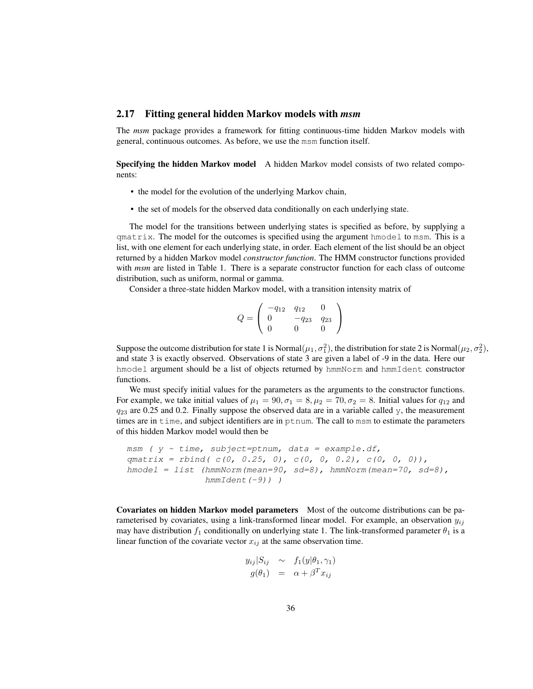### 2.17 Fitting general hidden Markov models with *msm*

The *msm* package provides a framework for fitting continuous-time hidden Markov models with general, continuous outcomes. As before, we use the msm function itself.

Specifying the hidden Markov model A hidden Markov model consists of two related components:

- the model for the evolution of the underlying Markov chain,
- the set of models for the observed data conditionally on each underlying state.

The model for the transitions between underlying states is specified as before, by supplying a qmatrix. The model for the outcomes is specified using the argument hmodel to msm. This is a list, with one element for each underlying state, in order. Each element of the list should be an object returned by a hidden Markov model *constructor function*. The HMM constructor functions provided with *msm* are listed in Table 1. There is a separate constructor function for each class of outcome distribution, such as uniform, normal or gamma.

Consider a three-state hidden Markov model, with a transition intensity matrix of

$$
Q = \left(\begin{array}{ccc} -q_{12} & q_{12} & 0\\ 0 & -q_{23} & q_{23} \\ 0 & 0 & 0 \end{array}\right)
$$

Suppose the outcome distribution for state 1 is Normal $(\mu_1, \sigma_1^2)$ , the distribution for state 2 is Normal $(\mu_2, \sigma_2^2)$ , and state 3 is exactly observed. Observations of state 3 are given a label of -9 in the data. Here our hmodel argument should be a list of objects returned by hmmNorm and hmmIdent constructor functions.

We must specify initial values for the parameters as the arguments to the constructor functions. For example, we take initial values of  $\mu_1 = 90$ ,  $\sigma_1 = 8$ ,  $\mu_2 = 70$ ,  $\sigma_2 = 8$ . Initial values for  $q_{12}$  and  $q_{23}$  are 0.25 and 0.2. Finally suppose the observed data are in a variable called y, the measurement times are in time, and subject identifiers are in ptnum. The call to msm to estimate the parameters of this hidden Markov model would then be

```
msm ( y \sim time, subject=ptnum, data = example.df,
qmatrix = rbind( c(0, 0.25, 0), c(0, 0, 0.2), c(0, 0, 0)),
hmodel = list (hmmNorm(mean=90, sd=8), hmmNorm(mean=70, sd=8),
               hmmIdent(-9)) )
```
Covariates on hidden Markov model parameters Most of the outcome distributions can be parameterised by covariates, using a link-transformed linear model. For example, an observation  $y_{ij}$ may have distribution  $f_1$  conditionally on underlying state 1. The link-transformed parameter  $\theta_1$  is a linear function of the covariate vector  $x_{ij}$  at the same observation time.

$$
y_{ij}|S_{ij} \sim f_1(y|\theta_1, \gamma_1)
$$
  

$$
g(\theta_1) = \alpha + \beta^T x_{ij}
$$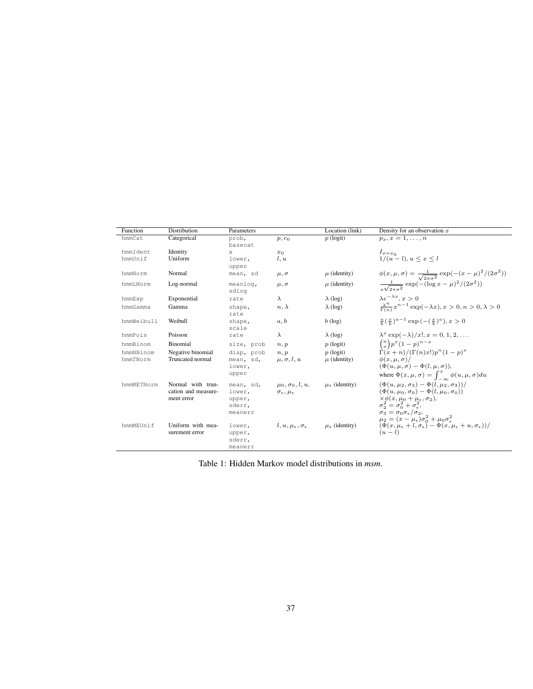| Function   | Distribution        | Parameters        |                                           | Location (link)             | Density for an observation $x$                                                                                             |
|------------|---------------------|-------------------|-------------------------------------------|-----------------------------|----------------------------------------------------------------------------------------------------------------------------|
| hmmCat     | Categorical         | prob,<br>basecat  | $p, c_0$                                  | $p$ (logit)                 | $p_x, x=1,\ldots,n$                                                                                                        |
| hmmIdent   | Identity            | X                 | $x_0$                                     |                             | $I_{x=x_0}$                                                                                                                |
| hmmUnif    | Uniform             | lower,<br>upper   | l, u                                      |                             | $1/(u-l), u \leq x \leq l$                                                                                                 |
| hmmNorm    | Normal              | mean, sd          | $\mu, \sigma$                             | $\mu$ (identity)            | $\phi(x,\mu,\sigma) = \frac{1}{\sqrt{2\pi\sigma^2}} \exp(-(x-\mu)^2/(2\sigma^2))$                                          |
| hmmLNorm   | Log-normal          | meanlog,<br>sdlog | $\mu, \sigma$                             | $\mu$ (identity)            | $\frac{1}{\sqrt{2\pi a^2}} \exp(-(\log x - \mu)^2/(2\sigma^2))$                                                            |
| hmmExp     | Exponential         | rate              | $\lambda$                                 | $\lambda$ (log)             | $\lambda e^{-\lambda x}$ , $x > 0$                                                                                         |
| hmmGamma   | Gamma               | shape,<br>rate    | $n, \lambda$                              | $\lambda$ (log)             | $\frac{\lambda^n}{\Gamma(n)} x^{n-1} \exp(-\lambda x), x > 0, n > 0, \lambda > 0$                                          |
| hmmWeibull | Weibull             | shape,<br>scale   | a, b                                      | $b$ (log)                   | $\frac{a}{b}(\frac{x}{b})^{a-1}$ exp $(-(\frac{x}{b})^a)$ , $x > 0$                                                        |
| hmmPois    | Poisson             | rate              | $\lambda$                                 | $\lambda$ (log)             | $\lambda^x \exp(-\lambda)/x!, x = 0, 1, 2, \ldots$                                                                         |
| hmmBinom   | Binomial            | size, prob        | n, p                                      | $p$ (logit)                 | $\binom{n}{x} p^x (1-p)^{n-x}$                                                                                             |
| hmmNBinom  | Negative binomial   | disp, prob        | n, p                                      | $p$ (logit)                 | $\Gamma(x+n)/(\Gamma(n)x!)p^{n}(1-p)^{x}$                                                                                  |
| hmmTNorm   | Truncated normal    | mean, sd,         | $\mu, \sigma, l, u$                       | $\mu$ (identity)            | $\phi(x,\mu,\sigma)/$                                                                                                      |
|            |                     | lower,            |                                           |                             | $(\Phi(u, \mu, \sigma) - \Phi(l, \mu, \sigma)),$                                                                           |
|            |                     | upper             |                                           |                             | where $\Phi(x, \mu, \sigma) = \int_{-\infty}^{x} \phi(u, \mu, \sigma) du$                                                  |
| hmmMETNorm | Normal with trun-   | mean, sd,         | $\mu_0, \sigma_0, l, u,$                  | $\mu_{\epsilon}$ (identity) | $(\Phi(u, \mu_2, \sigma_3) - \Phi(l, \mu_2, \sigma_3))/$                                                                   |
|            | cation and measure- | lower,            | $\sigma_{\epsilon}, \mu_{\epsilon}$       |                             | $(\Phi(u, \mu_0, \sigma_0) - \Phi(l, \mu_0, \sigma_0))$                                                                    |
|            | ment error          | upper,            |                                           |                             | $\times \phi(x, \mu_0 + \mu_{\epsilon}, \sigma_2),$<br>$\sigma_2^2 = \sigma_0^2 + \sigma_{\epsilon}^2,$                    |
|            |                     | sderr,            |                                           |                             |                                                                                                                            |
|            |                     | meanerr           |                                           |                             | $\sigma_3 = \sigma_0 \sigma_{\epsilon}/\sigma_2,$<br>$\mu_2 = (x - \mu_{\epsilon}) \sigma_0^2 + \mu_0 \sigma_{\epsilon}^2$ |
| hmmMEUnif  | Uniform with mea-   | lower,            | $l, u, \mu_{\epsilon}, \sigma_{\epsilon}$ | $\mu_{\epsilon}$ (identity) | $(\Phi(x, \mu_{\epsilon} + l, \sigma_{\epsilon}) - \Phi(x, \mu_{\epsilon} + u, \sigma_{\epsilon}))$ /                      |
|            | surement error      | upper,            |                                           |                             | $(u-l)$                                                                                                                    |
|            |                     | sderr,            |                                           |                             |                                                                                                                            |
|            |                     | meanerr           |                                           |                             |                                                                                                                            |

Table 1: Hidden Markov model distributions in *msm*.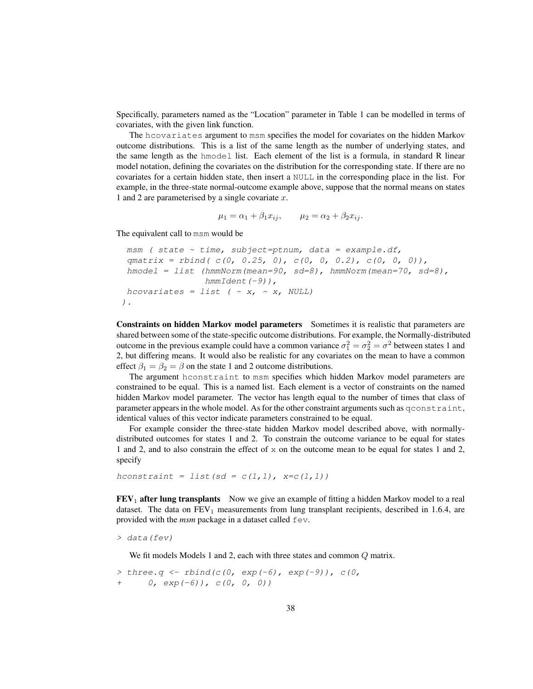Specifically, parameters named as the "Location" parameter in Table 1 can be modelled in terms of covariates, with the given link function.

The hcovariates argument to msm specifies the model for covariates on the hidden Markov outcome distributions. This is a list of the same length as the number of underlying states, and the same length as the hmodel list. Each element of the list is a formula, in standard R linear model notation, defining the covariates on the distribution for the corresponding state. If there are no covariates for a certain hidden state, then insert a NULL in the corresponding place in the list. For example, in the three-state normal-outcome example above, suppose that the normal means on states 1 and 2 are parameterised by a single covariate  $x$ .

$$
\mu_1 = \alpha_1 + \beta_1 x_{ij}, \qquad \mu_2 = \alpha_2 + \beta_2 x_{ij}.
$$

The equivalent call to msm would be

```
msm ( state \sim time, subject=ptnum, data = example.df,
 qmatrix = rbind( c(0, 0.25, 0), c(0, 0, 0.2), c(0, 0, 0)),
 hmodel = list (hmmNorm(mean=90, sd=8), hmmNorm(mean=70, sd=8),
                hmmIdent(-9)),
hcovariates = list (x, x, \alpha) NULL)
).
```
Constraints on hidden Markov model parameters Sometimes it is realistic that parameters are shared between some of the state-specific outcome distributions. For example, the Normally-distributed outcome in the previous example could have a common variance  $\sigma_1^2 = \sigma_2^2 = \sigma^2$  between states 1 and 2, but differing means. It would also be realistic for any covariates on the mean to have a common effect  $\beta_1 = \beta_2 = \beta$  on the state 1 and 2 outcome distributions.

The argument hconstraint to msm specifies which hidden Markov model parameters are constrained to be equal. This is a named list. Each element is a vector of constraints on the named hidden Markov model parameter. The vector has length equal to the number of times that class of parameter appears in the whole model. As for the other constraint arguments such as  $q$ constraint, identical values of this vector indicate parameters constrained to be equal.

For example consider the three-state hidden Markov model described above, with normallydistributed outcomes for states 1 and 2. To constrain the outcome variance to be equal for states 1 and 2, and to also constrain the effect of  $x$  on the outcome mean to be equal for states 1 and 2, specify

hconstraint = list(sd =  $c(1,1)$ , x= $c(1,1)$ )

 **after lung transplants Now we give an example of fitting a hidden Markov model to a real** dataset. The data on  $FEV_1$  measurements from lung transplant recipients, described in 1.6.4, are provided with the *msm* package in a dataset called  $f$ ev.

```
> data(fev)
```
We fit models Models 1 and 2, each with three states and common  $Q$  matrix.

```
> three. q < -rbind(c(0, exp(-6), exp(-9)), c(0,0, exp(-6), c(0, 0, 0)
```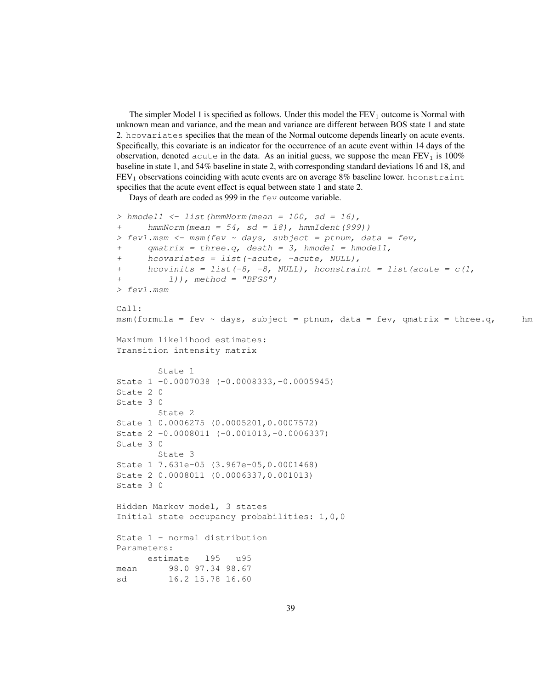The simpler Model 1 is specified as follows. Under this model the  $FEV<sub>1</sub>$  outcome is Normal with unknown mean and variance, and the mean and variance are different between BOS state 1 and state 2. hcovariates specifies that the mean of the Normal outcome depends linearly on acute events. Specifically, this covariate is an indicator for the occurrence of an acute event within 14 days of the observation, denoted acute in the data. As an initial guess, we suppose the mean  $FEV<sub>1</sub>$  is 100% baseline in state 1, and 54% baseline in state 2, with corresponding standard deviations 16 and 18, and  $FEV<sub>1</sub>$  observations coinciding with acute events are on average  $8\%$  baseline lower. hconstraint specifies that the acute event effect is equal between state 1 and state 2.

Days of death are coded as 999 in the fev outcome variable.

```
> hmodel1 <- list(hmmNorm(mean = 100, sd = 16),
+ hmmNorm(mean = 54, sd = 18), hmmIdent(999))
> fev1.msm <- msm(fev \sim days, subject = ptnum, data = fev,
+ qmatrix = three.q, death = 3, hmodel = hmodell,
+ hcovariates = list(~acute, ~acute, NULL),
+ hcovinits = list(-8, -8, NULL), hconstraint = list(acute = c(1,1), method = "BFGS")
> fev1.msm
Ca11:msm(formula = fev ~ days, subject = ptnum, data = fev, qmatrix = three.q, hm
Maximum likelihood estimates:
Transition intensity matrix
       State 1
State 1 -0.0007038 (-0.0008333,-0.0005945)
State 2 0
State 3 0
       State 2
State 1 0.0006275 (0.0005201,0.0007572)
State 2 -0.0008011 (-0.001013,-0.0006337)
State 3 0
       State 3
State 1 7.631e-05 (3.967e-05,0.0001468)
State 2 0.0008011 (0.0006337,0.001013)
State 3 0
Hidden Markov model, 3 states
Initial state occupancy probabilities: 1,0,0
State 1 - normal distribution
Parameters:
     estimate l95 u95
mean 98.0 97.34 98.67
sd 16.2 15.78 16.60
```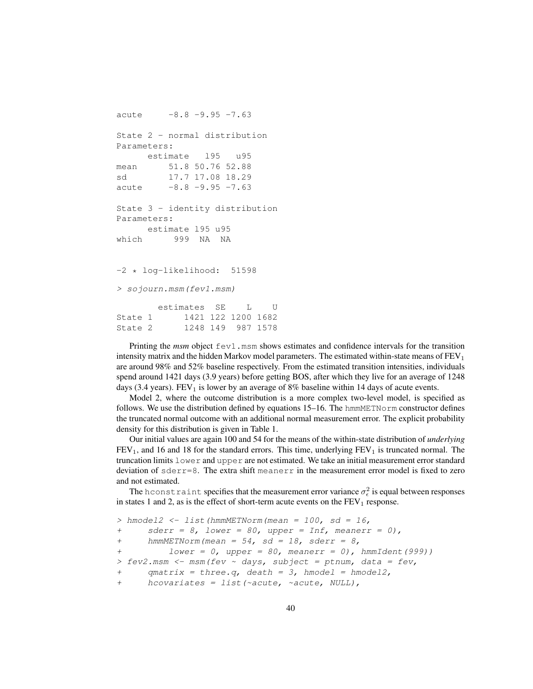```
acute -8.8 -9.95 -7.63State 2 - normal distribution
Parameters:
     estimate l95 u95
mean 51.8 50.76 52.88
sd 17.7 17.08 18.29
acute -8.8 -9.95 -7.63State 3 - identity distribution
Parameters:
     estimate l95 u95
which 999 NA NA
-2 * log-likelihood: 51598
> sojourn.msm(fev1.msm)
       estimates SE L U
State 1 1421 122 1200 1682
State 2 1248 149 987 1578
```
Printing the *msm* object fev1.msm shows estimates and confidence intervals for the transition intensity matrix and the hidden Markov model parameters. The estimated within-state means of FEV<sub>1</sub> are around 98% and 52% baseline respectively. From the estimated transition intensities, individuals spend around 1421 days (3.9 years) before getting BOS, after which they live for an average of 1248 days (3.4 years). FEV<sub>1</sub> is lower by an average of 8% baseline within 14 days of acute events.

Model 2, where the outcome distribution is a more complex two-level model, is specified as follows. We use the distribution defined by equations  $15-16$ . The hmmMETN $\circ$ rm constructor defines the truncated normal outcome with an additional normal measurement error. The explicit probability density for this distribution is given in Table 1.

Our initial values are again 100 and 54 for the means of the within-state distribution of *underlying*  $FEV<sub>1</sub>$ , and 16 and 18 for the standard errors. This time, underlying  $FEV<sub>1</sub>$  is truncated normal. The truncation limits lower and upper are not estimated. We take an initial measurement error standard deviation of  $sderr=8$ . The extra shift meanerr in the measurement error model is fixed to zero and not estimated.

The hconstraint specifies that the measurement error variance  $\sigma_{\epsilon}^2$  is equal between responses in states 1 and 2, as is the effect of short-term acute events on the  $FEV<sub>1</sub>$  response.

```
> hmodel2 \leftarrow list(hmmMETNorm(mean = 100, sd = 16,
+ sderr = 8, lower = 80, upper = Inf, meanerr = 0),
+ hmmMETNorm(mean = 54, sd = 18, sderr = 8,
+ lower = 0, upper = 80, meanerr = 0), hmmIdent(999))
> fev2.msm <- msm(fev \sim days, subject = ptnum, data = fev,
+ qmatrix = three.q, death = 3, hmodel = hmodel2,
+ hcovariates = list(~acute, ~acute, NULL),
```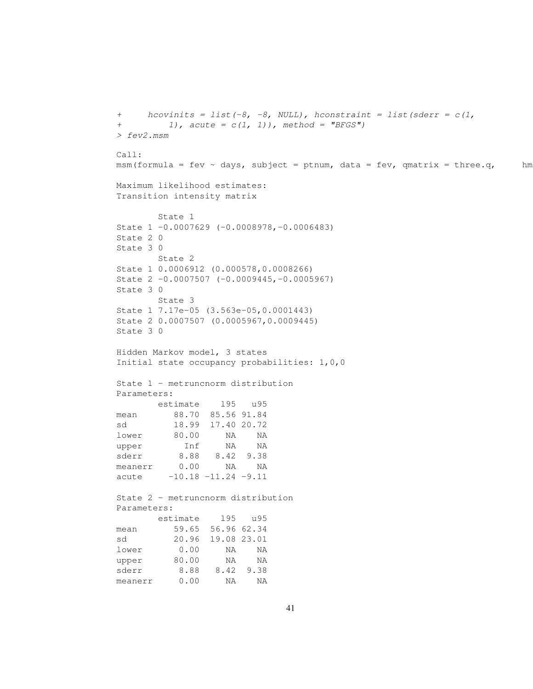```
+ hcovinits = list(-8, -8, NULL), hconstraint = list(sderr = c(1,+ 1), acute = c(1, 1), method = "BFGS")
> fev2.msm
Call:
msm(formula = fev ~ days, subject = ptnum, data = fev, qmatrix = three.q, hm
Maximum likelihood estimates:
Transition intensity matrix
      State 1
State 1 -0.0007629 (-0.0008978,-0.0006483)
State 2 0
State 3 0
      State 2
State 1 0.0006912 (0.000578,0.0008266)
State 2 -0.0007507 (-0.0009445,-0.0005967)
State 3 0
      State 3
State 1 7.17e-05 (3.563e-05,0.0001443)
State 2 0.0007507 (0.0005967,0.0009445)
State 3 0
Hidden Markov model, 3 states
Initial state occupancy probabilities: 1,0,0
State 1 - metruncnorm distribution
Parameters:
     estimate l95 u95
mean 88.70 85.56 91.84
sd 18.99 17.40 20.72
lower 80.00 NA NA
upper Inf NA NA
sderr 8.88 8.42 9.38
meanerr 0.00 NA NA
acute -10.18 -11.24 -9.11
State 2 - metruncnorm distribution
Parameters:
      estimate l95 u95
mean 59.65 56.96 62.34
sd 20.96 19.08 23.01
lower 0.00 NA NA
upper 80.00 NA NA
sderr 8.88 8.42 9.38
meanerr 0.00 NA NA
```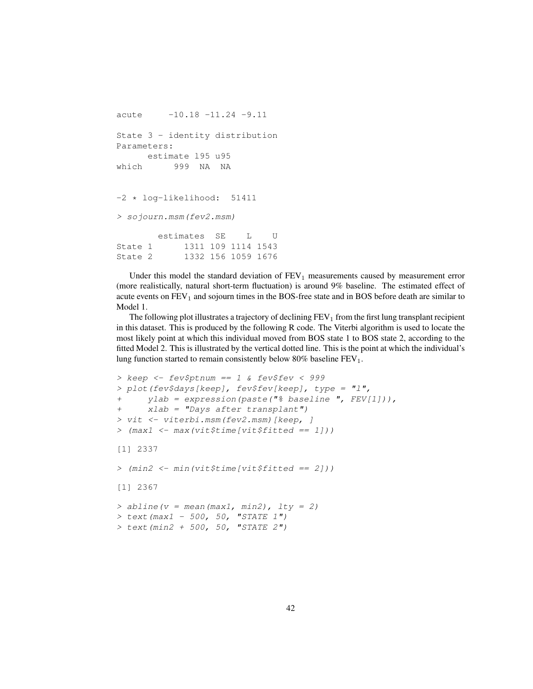```
acute -10.18 -11.24 -9.11
State 3 - identity distribution
Parameters:
     estimate l95 u95
which 999 NA NA
-2 * log-likelihood: 51411
> sojourn.msm(fev2.msm)
       estimates SE L U
State 1 1311 109 1114 1543
State 2 1332 156 1059 1676
```
Under this model the standard deviation of  $FEV<sub>1</sub>$  measurements caused by measurement error (more realistically, natural short-term fluctuation) is around 9% baseline. The estimated effect of acute events on  $FEV<sub>1</sub>$  and sojourn times in the BOS-free state and in BOS before death are similar to Model 1.

The following plot illustrates a trajectory of declining  $FEV<sub>1</sub>$  from the first lung transplant recipient in this dataset. This is produced by the following R code. The Viterbi algorithm is used to locate the most likely point at which this individual moved from BOS state 1 to BOS state 2, according to the fitted Model 2. This is illustrated by the vertical dotted line. This is the point at which the individual's lung function started to remain consistently below  $80\%$  baseline  $FEV<sub>1</sub>$ .

```
> keep <- fev$ptnum == 1 & fev$fev < 999
> plot(fev$days[keep], fev$fev[keep], type = "l",
      ylab = expression(paste("% baseline", FEV[1])),
+ xlab = "Days after transplant")
> vit <- viterbi.msm(fev2.msm)[keep, ]
> (max1 <- max(vit$time[vit$fitted == 1]))
[1] 2337
> (min2 <- min(vit$time[vit$fitted == 2]))
[1] 2367
> abline(v = mean(max1, min2), lty = 2)
> text (max1 - 500, 50, "STATE 1")
> text (min2 + 500, 50, "STATE 2")
```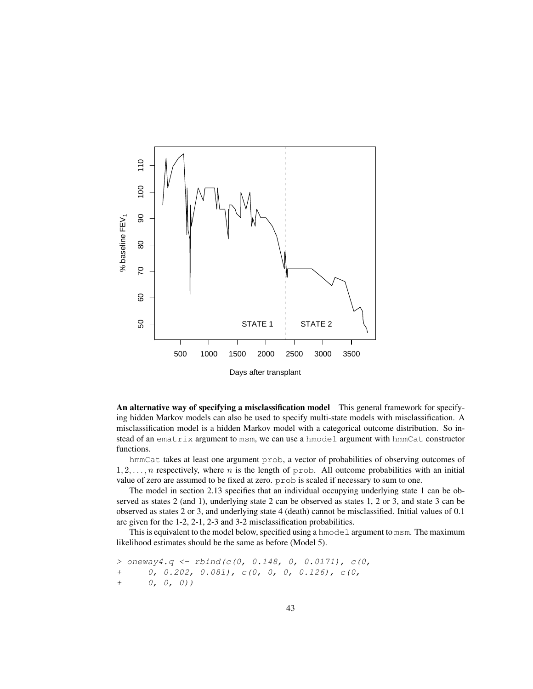

An alternative way of specifying a misclassification model This general framework for specifying hidden Markov models can also be used to specify multi-state models with misclassification. A misclassification model is a hidden Markov model with a categorical outcome distribution. So instead of an ematrix argument to msm, we can use a hmodel argument with hmmCat constructor functions.

hmmCat takes at least one argument prob, a vector of probabilities of observing outcomes of  $1, 2, \ldots, n$  respectively, where n is the length of prob. All outcome probabilities with an initial value of zero are assumed to be fixed at zero. prob is scaled if necessary to sum to one.

The model in section 2.13 specifies that an individual occupying underlying state 1 can be observed as states 2 (and 1), underlying state 2 can be observed as states 1, 2 or 3, and state 3 can be observed as states 2 or 3, and underlying state 4 (death) cannot be misclassified. Initial values of 0.1 are given for the 1-2, 2-1, 2-3 and 3-2 misclassification probabilities.

This is equivalent to the model below, specified using a hmodel argument to msm. The maximum likelihood estimates should be the same as before (Model 5).

```
> oneway4.q <- rbind(c(0, 0.148, 0, 0.0171), c(0,
+ 0, 0.202, 0.081), c(0, 0, 0, 0.126), c(0,
+ 0, 0, 0))
```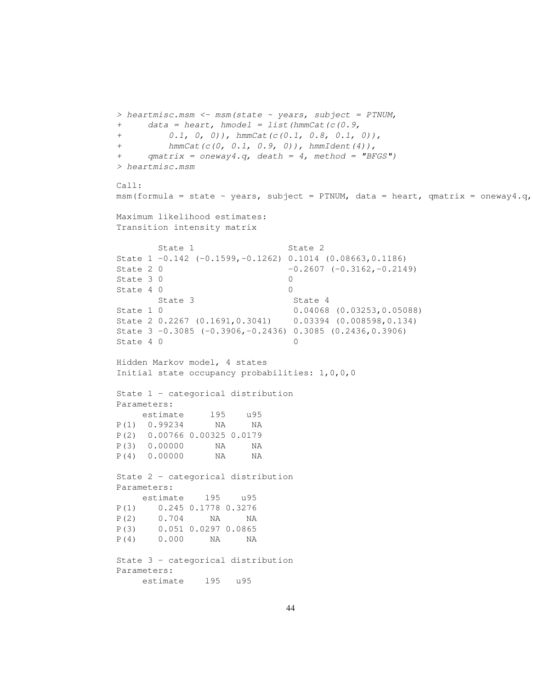```
> heartmisc.msm <- msm(state ~ years, subject = PTNUM,
+ data = heart, hmodel = list(hmmCat(c(0.9,
        (0.1, 0, 0), hmmCat(c(0.1, 0.8, 0.1, 0)),
+ hmmCat(c(0, 0.1, 0.9, 0)), hmmIdent(4)),
+ qmatrix = oneway4.q, death = 4, method = "BFGS")
> heartmisc.msm
Call:
msm(formula = state ~ v years, subject = PTNUM, data = heart, qmatrix = oneway4.q,Maximum likelihood estimates:
Transition intensity matrix
      State 1 State 2
State 1 -0.142 (-0.1599,-0.1262) 0.1014 (0.08663,0.1186)
State 2 0 -0.2607 (-0.3162, -0.2149)
State 3 \t0 0
State 4 0 0
      State 3 State 4
State 1 0 0.04068 (0.03253,0.05088)
State 2 0.2267 (0.1691,0.3041) 0.03394 (0.008598,0.134)
State 3 -0.3085 (-0.3906,-0.2436) 0.3085 (0.2436,0.3906)
State 4 0 0
Hidden Markov model, 4 states
Initial state occupancy probabilities: 1,0,0,0
State 1 - categorical distribution
Parameters:
   estimate l95 u95
P(1) 0.99234 NA NA
P(2) 0.00766 0.00325 0.0179
P(3) 0.00000 NA NA
P(4) 0.00000 NA NA
State 2 - categorical distribution
Parameters:
   estimate l95 u95
P(1) 0.245 0.1778 0.3276
P(2) 0.704 NA NA
P(3) 0.051 0.0297 0.0865
P(4) 0.000 NA NA
State 3 - categorical distribution
Parameters:
    estimate l95 u95
```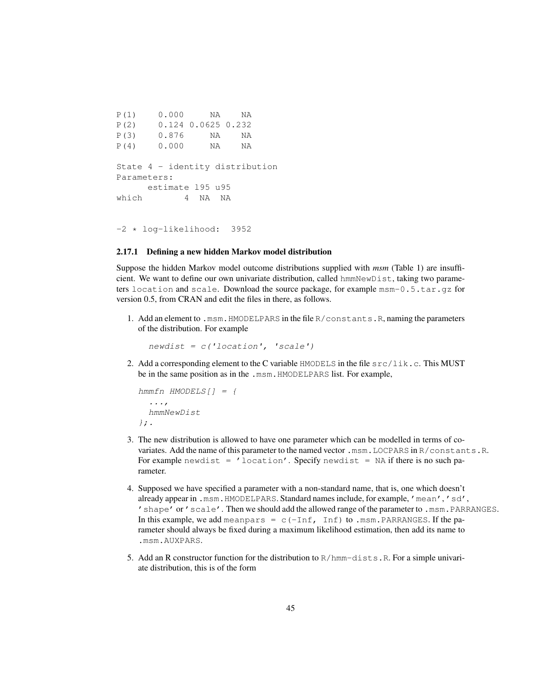```
P(1) 0.000 NA NA
P(2) 0.124 0.0625 0.232
P(3) 0.876 NA NA
P(4) 0.000 NA NA
State 4 - identity distribution
Parameters:
    estimate l95 u95
which 4 NA NA
```
-2 \* log-likelihood: 3952

#### 2.17.1 Defining a new hidden Markov model distribution

Suppose the hidden Markov model outcome distributions supplied with *msm* (Table 1) are insufficient. We want to define our own univariate distribution, called hmmNewDist, taking two parameters location and scale. Download the source package, for example msm-0.5.tar.gz for version 0.5, from CRAN and edit the files in there, as follows.

1. Add an element to .msm.HMODELPARS in the file R/constants.R, naming the parameters of the distribution. For example

 $newdist = c('location', 'scale')$ 

2. Add a corresponding element to the C variable  $HMODELS$  in the file  $src/lik.c$ . This MUST be in the same position as in the .msm.HMODELPARS list. For example,

```
hmmfn HMODELS[] = {
  ...,
  hmmNewDist
};.
```
- 3. The new distribution is allowed to have one parameter which can be modelled in terms of covariates. Add the name of this parameter to the named vector .msm.LOCPARS in R/constants.R. For example newdist =  $'$  location'. Specify newdist = NA if there is no such parameter.
- 4. Supposed we have specified a parameter with a non-standard name, that is, one which doesn't already appear in .msm.HMODELPARS. Standard names include, for example, 'mean', 'sd', 'shape' or 'scale'. Then we should add the allowed range of the parameter to .msm.PARRANGES. In this example, we add meanpars =  $c$  (-Inf, Inf) to .msm. PARRANGES. If the parameter should always be fixed during a maximum likelihood estimation, then add its name to .msm.AUXPARS.
- 5. Add an R constructor function for the distribution to  $R/hmm-dists$ . R. For a simple univariate distribution, this is of the form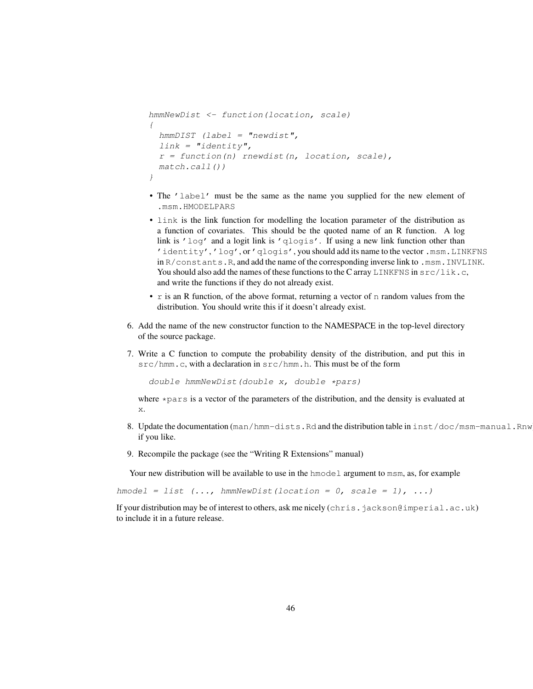```
hmmNewDist <- function(location, scale)
{
 hmmDIST (label = "newdist",
 link = "identity",r = function(n) rnewdist(n, location, scale),
 match.call())
}
```
- The 'label' must be the same as the name you supplied for the new element of .msm.HMODELPARS
- link is the link function for modelling the location parameter of the distribution as a function of covariates. This should be the quoted name of an R function. A log link is 'log' and a logit link is 'qlogis'. If using a new link function other than 'identity', 'log', or 'qlogis', you should add its name to the vector .msm.LINKFNS in R/constants.R, and add the name of the corresponding inverse link to .msm.INVLINK. You should also add the names of these functions to the C array LINKFNS in  $src/lik.c$ , and write the functions if they do not already exist.
- r is an R function, of the above format, returning a vector of n random values from the distribution. You should write this if it doesn't already exist.
- 6. Add the name of the new constructor function to the NAMESPACE in the top-level directory of the source package.
- 7. Write a C function to compute the probability density of the distribution, and put this in src/hmm.c, with a declaration in src/hmm.h. This must be of the form

double hmmNewDist(double x, double \*pars)

where  $\star$  pars is a vector of the parameters of the distribution, and the density is evaluated at x.

- 8. Update the documentation (man/hmm-dists.Rd and the distribution table in inst/doc/msm-manual.Rnw if you like.
- 9. Recompile the package (see the "Writing R Extensions" manual)

Your new distribution will be available to use in the hmodel argument to msm, as, for example

 $h$ model = list  $(...; h$ mmNewDist(location = 0, scale = 1), ...)

If your distribution may be of interest to others, ask me nicely (chris.jackson@imperial.ac.uk) to include it in a future release.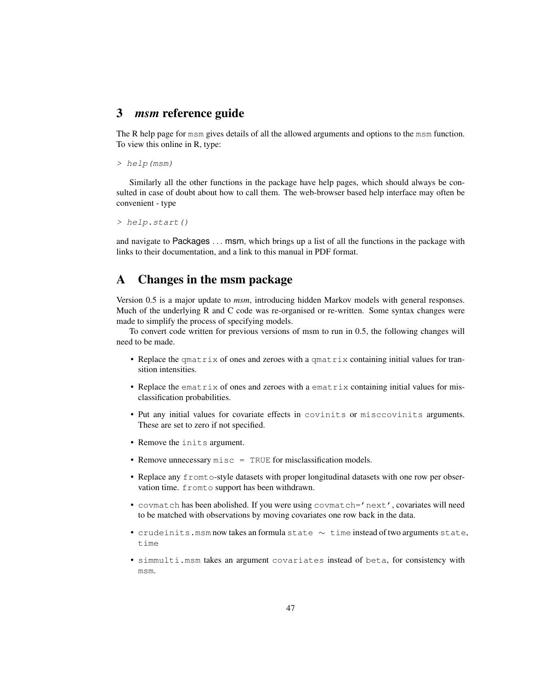## 3 *msm* reference guide

The R help page for msm gives details of all the allowed arguments and options to the msm function. To view this online in R, type:

> help(msm)

Similarly all the other functions in the package have help pages, which should always be consulted in case of doubt about how to call them. The web-browser based help interface may often be convenient - type

> help.start()

and navigate to Packages . . . msm, which brings up a list of all the functions in the package with links to their documentation, and a link to this manual in PDF format.

# A Changes in the msm package

Version 0.5 is a major update to *msm*, introducing hidden Markov models with general responses. Much of the underlying R and C code was re-organised or re-written. Some syntax changes were made to simplify the process of specifying models.

To convert code written for previous versions of msm to run in 0.5, the following changes will need to be made.

- Replace the qmatrix of ones and zeroes with a qmatrix containing initial values for transition intensities.
- Replace the ematrix of ones and zeroes with a ematrix containing initial values for misclassification probabilities.
- Put any initial values for covariate effects in covinits or misccovinits arguments. These are set to zero if not specified.
- Remove the inits argument.
- Remove unnecessary  $misc = TRUE$  for misclassification models.
- Replace any fromto-style datasets with proper longitudinal datasets with one row per observation time. fromto support has been withdrawn.
- covmatch has been abolished. If you were using covmatch='next', covariates will need to be matched with observations by moving covariates one row back in the data.
- crudeinits.msm now takes an formula state ∼ time instead of two arguments state, time
- simmulti.msm takes an argument covariates instead of beta, for consistency with msm.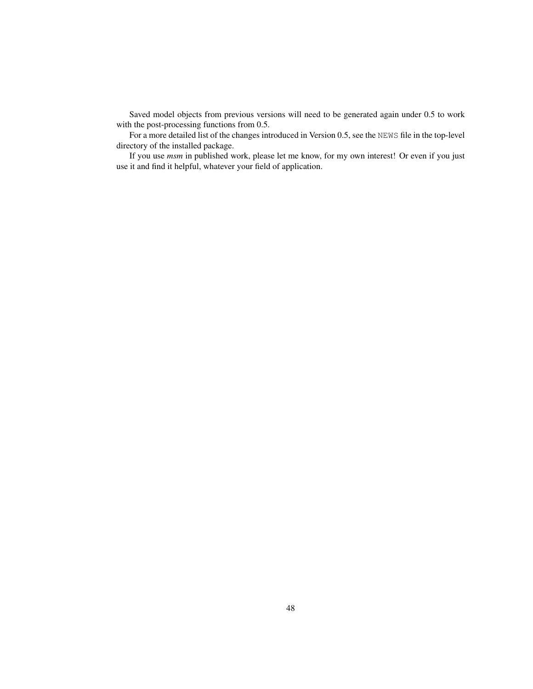Saved model objects from previous versions will need to be generated again under 0.5 to work with the post-processing functions from 0.5.

For a more detailed list of the changes introduced in Version 0.5, see the NEWS file in the top-level directory of the installed package.

If you use *msm* in published work, please let me know, for my own interest! Or even if you just use it and find it helpful, whatever your field of application.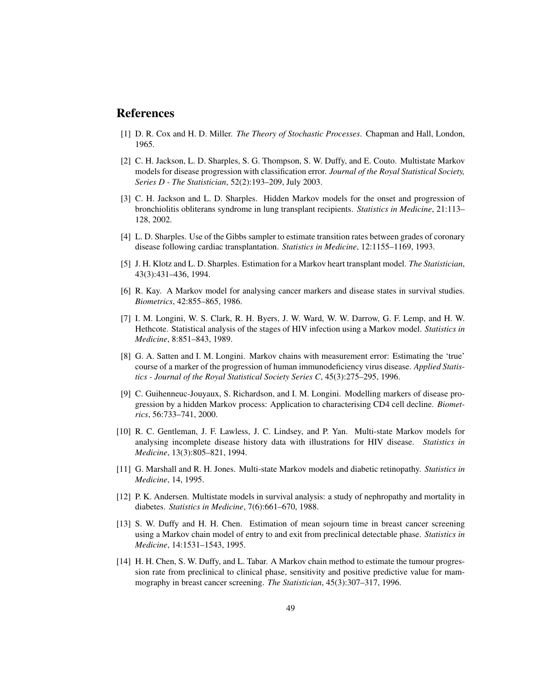# References

- [1] D. R. Cox and H. D. Miller. *The Theory of Stochastic Processes*. Chapman and Hall, London, 1965.
- [2] C. H. Jackson, L. D. Sharples, S. G. Thompson, S. W. Duffy, and E. Couto. Multistate Markov models for disease progression with classification error. *Journal of the Royal Statistical Society, Series D - The Statistician*, 52(2):193–209, July 2003.
- [3] C. H. Jackson and L. D. Sharples. Hidden Markov models for the onset and progression of bronchiolitis obliterans syndrome in lung transplant recipients. *Statistics in Medicine*, 21:113– 128, 2002.
- [4] L. D. Sharples. Use of the Gibbs sampler to estimate transition rates between grades of coronary disease following cardiac transplantation. *Statistics in Medicine*, 12:1155–1169, 1993.
- [5] J. H. Klotz and L. D. Sharples. Estimation for a Markov heart transplant model. *The Statistician*, 43(3):431–436, 1994.
- [6] R. Kay. A Markov model for analysing cancer markers and disease states in survival studies. *Biometrics*, 42:855–865, 1986.
- [7] I. M. Longini, W. S. Clark, R. H. Byers, J. W. Ward, W. W. Darrow, G. F. Lemp, and H. W. Hethcote. Statistical analysis of the stages of HIV infection using a Markov model. *Statistics in Medicine*, 8:851–843, 1989.
- [8] G. A. Satten and I. M. Longini. Markov chains with measurement error: Estimating the 'true' course of a marker of the progression of human immunodeficiency virus disease. *Applied Statistics - Journal of the Royal Statistical Society Series C*, 45(3):275–295, 1996.
- [9] C. Guihenneuc-Jouyaux, S. Richardson, and I. M. Longini. Modelling markers of disease progression by a hidden Markov process: Application to characterising CD4 cell decline. *Biometrics*, 56:733–741, 2000.
- [10] R. C. Gentleman, J. F. Lawless, J. C. Lindsey, and P. Yan. Multi-state Markov models for analysing incomplete disease history data with illustrations for HIV disease. *Statistics in Medicine*, 13(3):805–821, 1994.
- [11] G. Marshall and R. H. Jones. Multi-state Markov models and diabetic retinopathy. *Statistics in Medicine*, 14, 1995.
- [12] P. K. Andersen. Multistate models in survival analysis: a study of nephropathy and mortality in diabetes. *Statistics in Medicine*, 7(6):661–670, 1988.
- [13] S. W. Duffy and H. H. Chen. Estimation of mean sojourn time in breast cancer screening using a Markov chain model of entry to and exit from preclinical detectable phase. *Statistics in Medicine*, 14:1531–1543, 1995.
- [14] H. H. Chen, S. W. Duffy, and L. Tabar. A Markov chain method to estimate the tumour progression rate from preclinical to clinical phase, sensitivity and positive predictive value for mammography in breast cancer screening. *The Statistician*, 45(3):307–317, 1996.